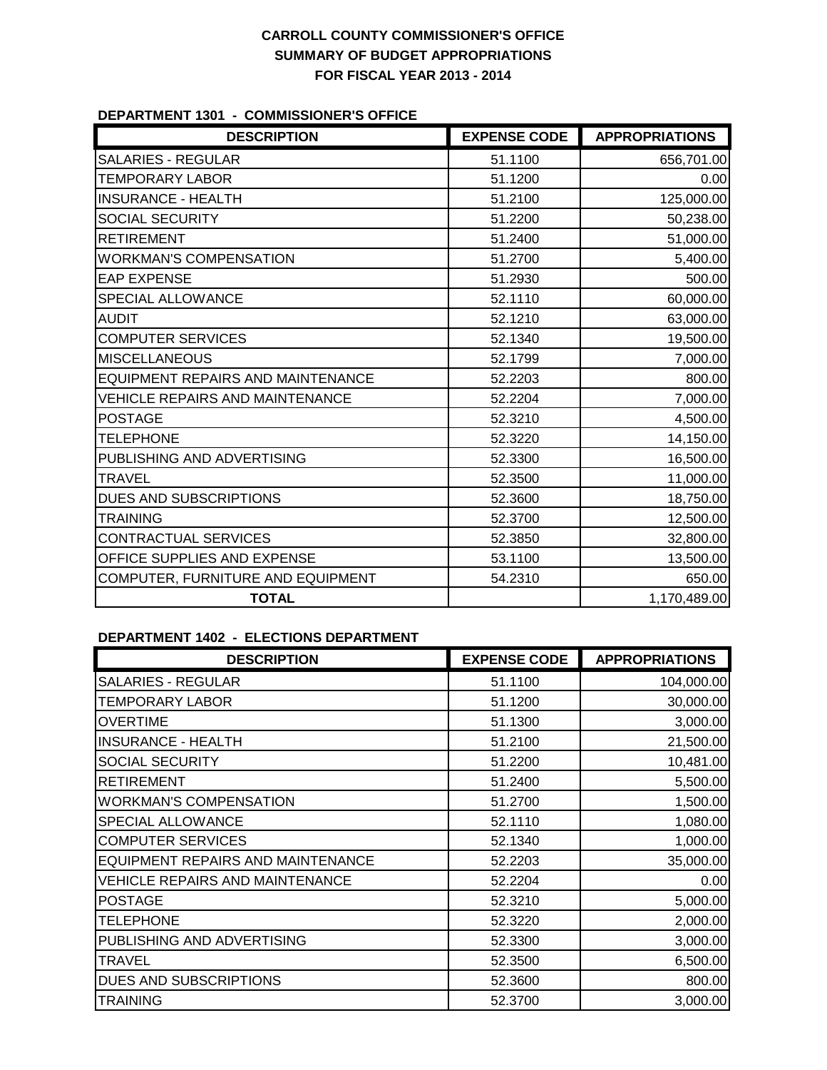### **DEPARTMENT 1301 - COMMISSIONER'S OFFICE**

| <b>DESCRIPTION</b>                       | <b>EXPENSE CODE</b> | <b>APPROPRIATIONS</b> |
|------------------------------------------|---------------------|-----------------------|
| SALARIES - REGULAR                       | 51.1100             | 656,701.00            |
| <b>TEMPORARY LABOR</b>                   | 51.1200             | 0.00                  |
| <b>INSURANCE - HEALTH</b>                | 51.2100             | 125,000.00            |
| SOCIAL SECURITY                          | 51.2200             | 50,238.00             |
| <b>RETIREMENT</b>                        | 51.2400             | 51,000.00             |
| <b>WORKMAN'S COMPENSATION</b>            | 51.2700             | 5,400.00              |
| <b>EAP EXPENSE</b>                       | 51.2930             | 500.00                |
| SPECIAL ALLOWANCE                        | 52.1110             | 60,000.00             |
| <b>AUDIT</b>                             | 52.1210             | 63,000.00             |
| <b>COMPUTER SERVICES</b>                 | 52.1340             | 19,500.00             |
| <b>MISCELLANEOUS</b>                     | 52.1799             | 7,000.00              |
| <b>EQUIPMENT REPAIRS AND MAINTENANCE</b> | 52.2203             | 800.00                |
| <b>VEHICLE REPAIRS AND MAINTENANCE</b>   | 52.2204             | 7,000.00              |
| <b>POSTAGE</b>                           | 52.3210             | 4,500.00              |
| <b>TELEPHONE</b>                         | 52.3220             | 14,150.00             |
| PUBLISHING AND ADVERTISING               | 52.3300             | 16,500.00             |
| <b>TRAVEL</b>                            | 52.3500             | 11,000.00             |
| <b>DUES AND SUBSCRIPTIONS</b>            | 52.3600             | 18,750.00             |
| <b>TRAINING</b>                          | 52.3700             | 12,500.00             |
| CONTRACTUAL SERVICES                     | 52.3850             | 32,800.00             |
| OFFICE SUPPLIES AND EXPENSE              | 53.1100             | 13,500.00             |
| COMPUTER, FURNITURE AND EQUIPMENT        | 54.2310             | 650.00                |
| <b>TOTAL</b>                             |                     | 1,170,489.00          |

### **DEPARTMENT 1402 - ELECTIONS DEPARTMENT**

| <b>DESCRIPTION</b>                     | <b>EXPENSE CODE</b> | <b>APPROPRIATIONS</b> |
|----------------------------------------|---------------------|-----------------------|
| <b>SALARIES - REGULAR</b>              | 51.1100             | 104,000.00            |
| <b>TEMPORARY LABOR</b>                 | 51.1200             | 30,000.00             |
| <b>OVERTIME</b>                        | 51.1300             | 3,000.00              |
| <b>INSURANCE - HEALTH</b>              | 51.2100             | 21,500.00             |
| <b>SOCIAL SECURITY</b>                 | 51.2200             | 10,481.00             |
| <b>RETIREMENT</b>                      | 51.2400             | 5,500.00              |
| <b>WORKMAN'S COMPENSATION</b>          | 51.2700             | 1,500.00              |
| SPECIAL ALLOWANCE                      | 52.1110             | 1,080.00              |
| <b>COMPUTER SERVICES</b>               | 52.1340             | 1,000.00              |
| EQUIPMENT REPAIRS AND MAINTENANCE      | 52.2203             | 35,000.00             |
| <b>VEHICLE REPAIRS AND MAINTENANCE</b> | 52.2204             | 0.00                  |
| <b>POSTAGE</b>                         | 52.3210             | 5,000.00              |
| <b>TELEPHONE</b>                       | 52.3220             | 2,000.00              |
| PUBLISHING AND ADVERTISING             | 52.3300             | 3,000.00              |
| <b>TRAVEL</b>                          | 52.3500             | 6,500.00              |
| DUES AND SUBSCRIPTIONS                 | 52.3600             | 800.00                |
| <b>TRAINING</b>                        | 52,3700             | 3,000.00              |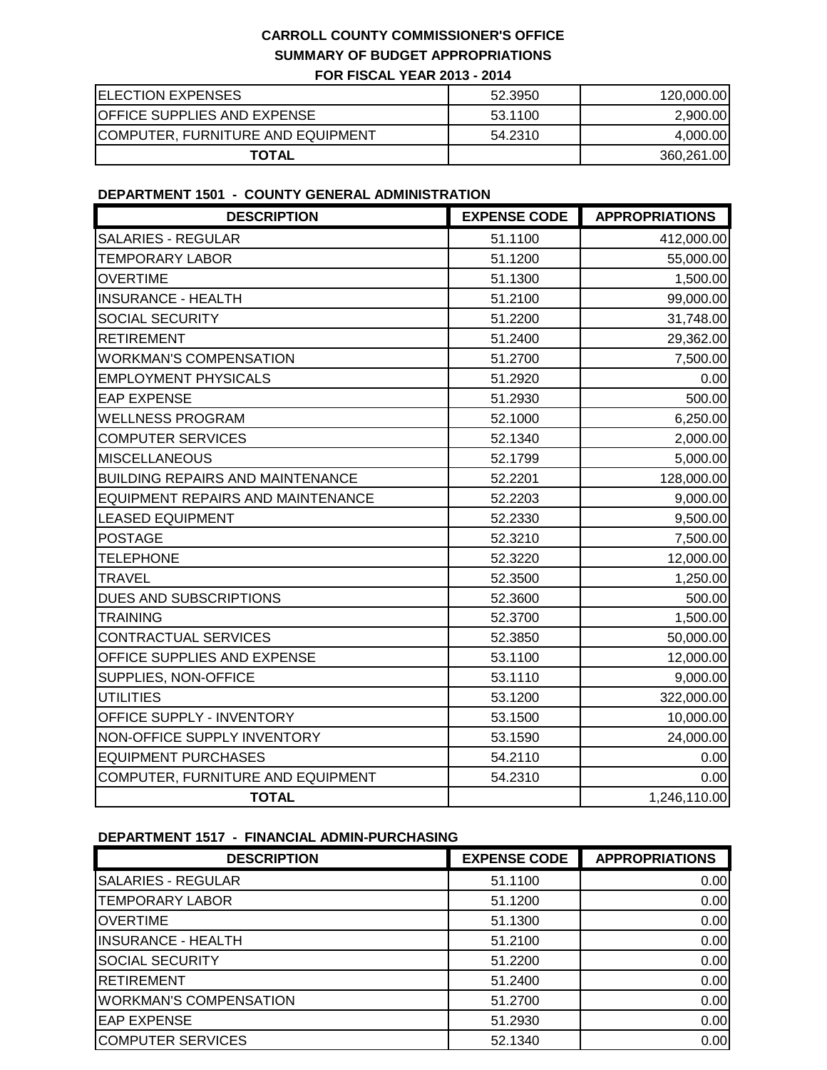| <b>ELECTION EXPENSES</b>           | 52.3950 | 120,000.00 |
|------------------------------------|---------|------------|
| <b>OFFICE SUPPLIES AND EXPENSE</b> | 53.1100 | 2,900.00   |
| COMPUTER, FURNITURE AND EQUIPMENT  | 54.2310 | 4,000.00   |
| <b>TOTAL</b>                       |         | 360,261.00 |

### **DEPARTMENT 1501 - COUNTY GENERAL ADMINISTRATION**

| <b>DESCRIPTION</b>                       | <b>EXPENSE CODE</b> | <b>APPROPRIATIONS</b> |
|------------------------------------------|---------------------|-----------------------|
| <b>SALARIES - REGULAR</b>                | 51.1100             | 412,000.00            |
| <b>TEMPORARY LABOR</b>                   | 51.1200             | 55,000.00             |
| <b>OVERTIME</b>                          | 51.1300             | 1,500.00              |
| <b>INSURANCE - HEALTH</b>                | 51.2100             | 99,000.00             |
| <b>SOCIAL SECURITY</b>                   | 51.2200             | 31,748.00             |
| <b>RETIREMENT</b>                        | 51.2400             | 29,362.00             |
| <b>WORKMAN'S COMPENSATION</b>            | 51.2700             | 7,500.00              |
| <b>EMPLOYMENT PHYSICALS</b>              | 51.2920             | 0.00                  |
| <b>EAP EXPENSE</b>                       | 51.2930             | 500.00                |
| <b>WELLNESS PROGRAM</b>                  | 52.1000             | 6,250.00              |
| <b>COMPUTER SERVICES</b>                 | 52.1340             | 2,000.00              |
| <b>MISCELLANEOUS</b>                     | 52.1799             | 5,000.00              |
| <b>BUILDING REPAIRS AND MAINTENANCE</b>  | 52.2201             | 128,000.00            |
| <b>EQUIPMENT REPAIRS AND MAINTENANCE</b> | 52.2203             | 9,000.00              |
| <b>LEASED EQUIPMENT</b>                  | 52.2330             | 9,500.00              |
| <b>POSTAGE</b>                           | 52.3210             | 7,500.00              |
| <b>TELEPHONE</b>                         | 52.3220             | 12,000.00             |
| <b>TRAVEL</b>                            | 52.3500             | 1,250.00              |
| DUES AND SUBSCRIPTIONS                   | 52.3600             | 500.00                |
| <b>TRAINING</b>                          | 52.3700             | 1,500.00              |
| CONTRACTUAL SERVICES                     | 52.3850             | 50,000.00             |
| OFFICE SUPPLIES AND EXPENSE              | 53.1100             | 12,000.00             |
| SUPPLIES, NON-OFFICE                     | 53.1110             | 9,000.00              |
| <b>UTILITIES</b>                         | 53.1200             | 322,000.00            |
| OFFICE SUPPLY - INVENTORY                | 53.1500             | 10,000.00             |
| NON-OFFICE SUPPLY INVENTORY              | 53.1590             | 24,000.00             |
| <b>EQUIPMENT PURCHASES</b>               | 54.2110             | 0.00                  |
| COMPUTER, FURNITURE AND EQUIPMENT        | 54.2310             | 0.00                  |
| <b>TOTAL</b>                             |                     | 1,246,110.00          |

### **DEPARTMENT 1517 - FINANCIAL ADMIN-PURCHASING**

| <b>DESCRIPTION</b>            | <b>EXPENSE CODE</b> | <b>APPROPRIATIONS</b> |
|-------------------------------|---------------------|-----------------------|
| <b>SALARIES - REGULAR</b>     | 51.1100             | 0.00                  |
| <b>TEMPORARY LABOR</b>        | 51.1200             | 0.00                  |
| <b>OVERTIME</b>               | 51.1300             | 0.00                  |
| <b>INSURANCE - HEALTH</b>     | 51.2100             | 0.00                  |
| <b>SOCIAL SECURITY</b>        | 51.2200             | 0.00                  |
| RETIREMENT                    | 51.2400             | 0.00                  |
| <b>WORKMAN'S COMPENSATION</b> | 51.2700             | 0.00                  |
| <b>EAP EXPENSE</b>            | 51.2930             | 0.00                  |
| <b>ICOMPUTER SERVICES</b>     | 52.1340             | 0.00                  |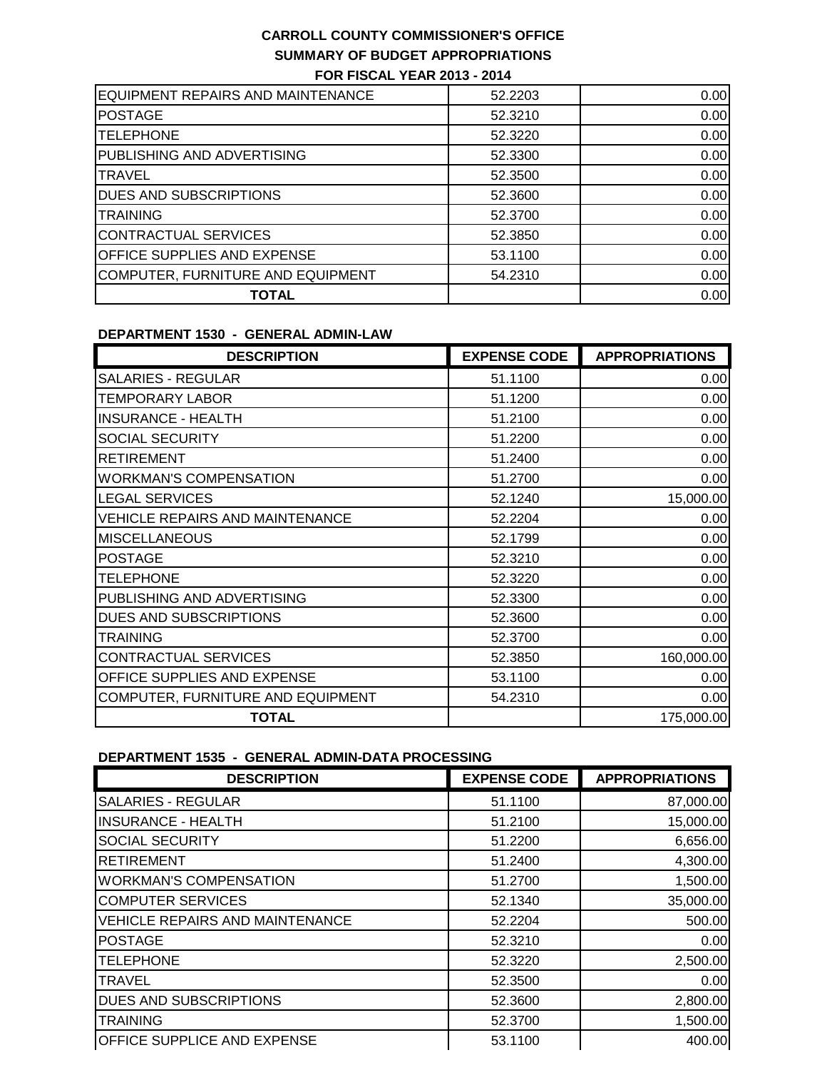| EQUIPMENT REPAIRS AND MAINTENANCE  | 52.2203 | 0.00 |
|------------------------------------|---------|------|
| <b>POSTAGE</b>                     | 52.3210 | 0.00 |
| <b>TELEPHONE</b>                   | 52.3220 | 0.00 |
| <b>PUBLISHING AND ADVERTISING</b>  | 52.3300 | 0.00 |
| <b>ITRAVEL</b>                     | 52,3500 | 0.00 |
| <b>DUES AND SUBSCRIPTIONS</b>      | 52,3600 | 0.00 |
| <b>TRAINING</b>                    | 52.3700 | 0.00 |
| CONTRACTUAL SERVICES               | 52.3850 | 0.00 |
| <b>OFFICE SUPPLIES AND EXPENSE</b> | 53.1100 | 0.00 |
| COMPUTER, FURNITURE AND EQUIPMENT  | 54.2310 | 0.00 |
| <b>TOTAL</b>                       |         | 0.00 |

#### **DEPARTMENT 1530 - GENERAL ADMIN-LAW**

| <b>DESCRIPTION</b>                     | <b>EXPENSE CODE</b> | <b>APPROPRIATIONS</b> |
|----------------------------------------|---------------------|-----------------------|
| <b>SALARIES - REGULAR</b>              | 51.1100             | 0.00                  |
| <b>TEMPORARY LABOR</b>                 | 51.1200             | 0.00                  |
| <b>INSURANCE - HEALTH</b>              | 51.2100             | 0.00                  |
| <b>SOCIAL SECURITY</b>                 | 51.2200             | 0.00                  |
| <b>RETIREMENT</b>                      | 51.2400             | 0.00                  |
| <b>WORKMAN'S COMPENSATION</b>          | 51.2700             | 0.00                  |
| <b>LEGAL SERVICES</b>                  | 52.1240             | 15,000.00             |
| <b>VEHICLE REPAIRS AND MAINTENANCE</b> | 52.2204             | 0.00                  |
| <b>MISCELLANEOUS</b>                   | 52.1799             | 0.00                  |
| <b>POSTAGE</b>                         | 52.3210             | 0.00                  |
| <b>TELEPHONE</b>                       | 52.3220             | 0.00                  |
| PUBLISHING AND ADVERTISING             | 52.3300             | 0.00                  |
| DUES AND SUBSCRIPTIONS                 | 52.3600             | 0.00                  |
| <b>TRAINING</b>                        | 52.3700             | 0.00                  |
| <b>CONTRACTUAL SERVICES</b>            | 52.3850             | 160,000.00            |
| OFFICE SUPPLIES AND EXPENSE            | 53.1100             | 0.00                  |
| COMPUTER, FURNITURE AND EQUIPMENT      | 54.2310             | 0.00                  |
| <b>TOTAL</b>                           |                     | 175,000.00            |

### **DEPARTMENT 1535 - GENERAL ADMIN-DATA PROCESSING**

| <b>DESCRIPTION</b>                     | <b>EXPENSE CODE</b> | <b>APPROPRIATIONS</b> |
|----------------------------------------|---------------------|-----------------------|
| <b>SALARIES - REGULAR</b>              | 51.1100             | 87,000.00             |
| <b>INSURANCE - HEALTH</b>              | 51.2100             | 15,000.00             |
| <b>SOCIAL SECURITY</b>                 | 51.2200             | 6,656.00              |
| <b>RETIREMENT</b>                      | 51.2400             | 4,300.00              |
| <b>WORKMAN'S COMPENSATION</b>          | 51.2700             | 1,500.00              |
| <b>COMPUTER SERVICES</b>               | 52.1340             | 35,000.00             |
| <b>VEHICLE REPAIRS AND MAINTENANCE</b> | 52.2204             | 500.00                |
| <b>POSTAGE</b>                         | 52.3210             | 0.00                  |
| <b>TELEPHONE</b>                       | 52.3220             | 2,500.00              |
| <b>TRAVEL</b>                          | 52.3500             | 0.00                  |
| <b>DUES AND SUBSCRIPTIONS</b>          | 52.3600             | 2,800.00              |
| <b>TRAINING</b>                        | 52.3700             | 1,500.00              |
| <b>OFFICE SUPPLICE AND EXPENSE</b>     | 53.1100             | 400.00                |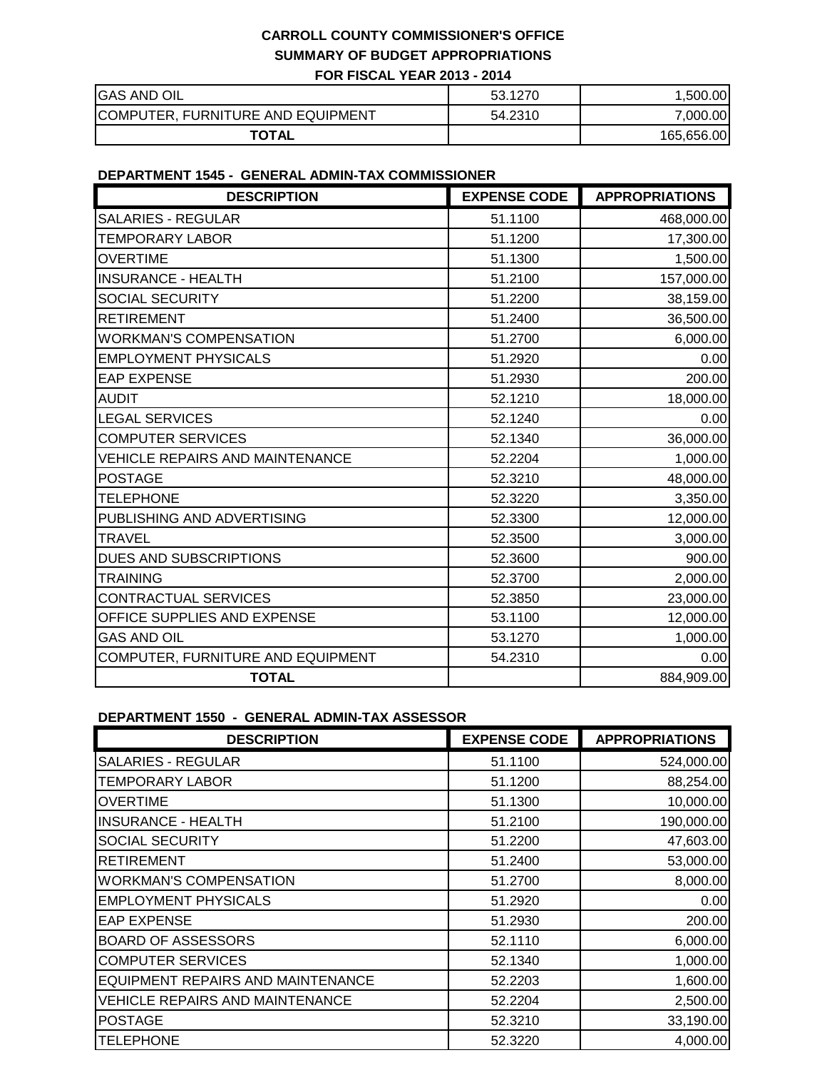| <b>GAS AND OIL</b>                | 53.1270 | .500.00    |
|-----------------------------------|---------|------------|
| COMPUTER, FURNITURE AND EQUIPMENT | 54.2310 | 7,000.00   |
| <b>TOTAL</b>                      |         | 165,656.00 |

#### **DEPARTMENT 1545 - GENERAL ADMIN-TAX COMMISSIONER**

| <b>DESCRIPTION</b>                     | <b>EXPENSE CODE</b> | <b>APPROPRIATIONS</b> |
|----------------------------------------|---------------------|-----------------------|
| <b>SALARIES - REGULAR</b>              | 51.1100             | 468,000.00            |
| <b>TEMPORARY LABOR</b>                 | 51.1200             | 17,300.00             |
| <b>OVERTIME</b>                        | 51.1300             | 1,500.00              |
| <b>INSURANCE - HEALTH</b>              | 51.2100             | 157,000.00            |
| <b>SOCIAL SECURITY</b>                 | 51.2200             | 38,159.00             |
| <b>RETIREMENT</b>                      | 51.2400             | 36,500.00             |
| <b>WORKMAN'S COMPENSATION</b>          | 51.2700             | 6,000.00              |
| <b>EMPLOYMENT PHYSICALS</b>            | 51.2920             | 0.00                  |
| <b>EAP EXPENSE</b>                     | 51.2930             | 200.00                |
| <b>AUDIT</b>                           | 52.1210             | 18,000.00             |
| <b>LEGAL SERVICES</b>                  | 52.1240             | 0.00                  |
| <b>COMPUTER SERVICES</b>               | 52.1340             | 36,000.00             |
| <b>VEHICLE REPAIRS AND MAINTENANCE</b> | 52.2204             | 1,000.00              |
| <b>POSTAGE</b>                         | 52.3210             | 48,000.00             |
| <b>TELEPHONE</b>                       | 52.3220             | 3,350.00              |
| PUBLISHING AND ADVERTISING             | 52.3300             | 12,000.00             |
| <b>TRAVEL</b>                          | 52.3500             | 3,000.00              |
| <b>DUES AND SUBSCRIPTIONS</b>          | 52.3600             | 900.00                |
| <b>TRAINING</b>                        | 52.3700             | 2,000.00              |
| CONTRACTUAL SERVICES                   | 52.3850             | 23,000.00             |
| OFFICE SUPPLIES AND EXPENSE            | 53.1100             | 12,000.00             |
| <b>GAS AND OIL</b>                     | 53.1270             | 1,000.00              |
| COMPUTER, FURNITURE AND EQUIPMENT      | 54.2310             | 0.00                  |
| <b>TOTAL</b>                           |                     | 884,909.00            |

**DEPARTMENT 1550 - GENERAL ADMIN-TAX ASSESSOR**

| <b>DESCRIPTION</b>                       | <b>EXPENSE CODE</b> | <b>APPROPRIATIONS</b> |
|------------------------------------------|---------------------|-----------------------|
| <b>SALARIES - REGULAR</b>                | 51.1100             | 524,000.00            |
| <b>TEMPORARY LABOR</b>                   | 51.1200             | 88,254.00             |
| <b>OVERTIME</b>                          | 51.1300             | 10,000.00             |
| <b>INSURANCE - HEALTH</b>                | 51.2100             | 190,000.00            |
| SOCIAL SECURITY                          | 51.2200             | 47,603.00             |
| <b>RETIREMENT</b>                        | 51.2400             | 53,000.00             |
| <b>WORKMAN'S COMPENSATION</b>            | 51.2700             | 8,000.00              |
| <b>EMPLOYMENT PHYSICALS</b>              | 51.2920             | 0.00                  |
| <b>EAP EXPENSE</b>                       | 51.2930             | 200.00                |
| <b>BOARD OF ASSESSORS</b>                | 52.1110             | 6,000.00              |
| <b>COMPUTER SERVICES</b>                 | 52.1340             | 1,000.00              |
| <b>EQUIPMENT REPAIRS AND MAINTENANCE</b> | 52.2203             | 1,600.00              |
| <b>VEHICLE REPAIRS AND MAINTENANCE</b>   | 52.2204             | 2,500.00              |
| <b>POSTAGE</b>                           | 52.3210             | 33,190.00             |
| <b>TELEPHONE</b>                         | 52.3220             | 4,000.00              |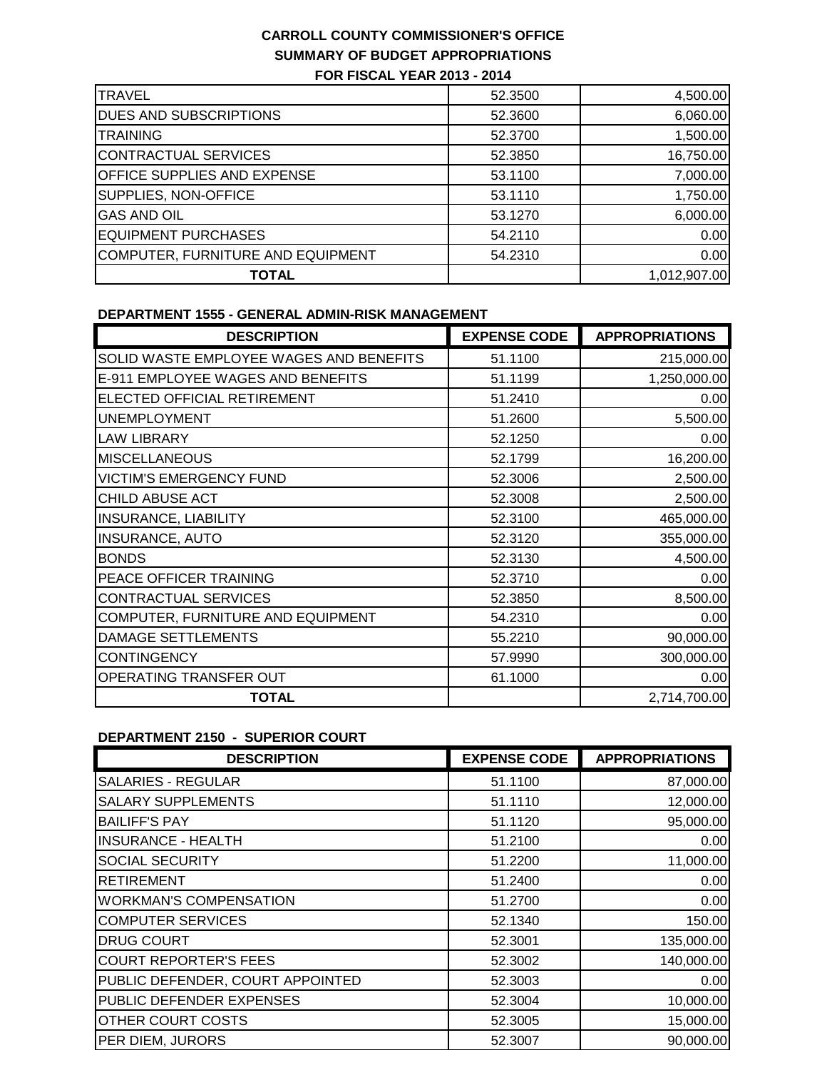| <b>TRAVEL</b>                      | 52,3500 | 4,500.00     |
|------------------------------------|---------|--------------|
| <b>DUES AND SUBSCRIPTIONS</b>      | 52.3600 | 6,060.00     |
| <b>TRAINING</b>                    | 52,3700 | 1,500.00     |
| CONTRACTUAL SERVICES               | 52,3850 | 16,750.00    |
| <b>OFFICE SUPPLIES AND EXPENSE</b> | 53.1100 | 7,000.00     |
| SUPPLIES, NON-OFFICE               | 53.1110 | 1,750.00     |
| <b>GAS AND OIL</b>                 | 53.1270 | 6,000.00     |
| <b>EQUIPMENT PURCHASES</b>         | 54.2110 | 0.00         |
| COMPUTER, FURNITURE AND EQUIPMENT  | 54.2310 | 0.00         |
| TOTAL                              |         | 1,012,907.00 |

#### **DEPARTMENT 1555 - GENERAL ADMIN-RISK MANAGEMENT**

| <b>DESCRIPTION</b>                      | <b>EXPENSE CODE</b> | <b>APPROPRIATIONS</b> |
|-----------------------------------------|---------------------|-----------------------|
| SOLID WASTE EMPLOYEE WAGES AND BENEFITS | 51.1100             | 215,000.00            |
| E-911 EMPLOYEE WAGES AND BENEFITS       | 51.1199             | 1,250,000.00          |
| ELECTED OFFICIAL RETIREMENT             | 51.2410             | 0.00                  |
| <b>UNEMPLOYMENT</b>                     | 51.2600             | 5,500.00              |
| <b>LAW LIBRARY</b>                      | 52.1250             | 0.00                  |
| <b>MISCELLANEOUS</b>                    | 52.1799             | 16,200.00             |
| <b>VICTIM'S EMERGENCY FUND</b>          | 52.3006             | 2,500.00              |
| <b>CHILD ABUSE ACT</b>                  | 52.3008             | 2,500.00              |
| <b>INSURANCE, LIABILITY</b>             | 52.3100             | 465,000.00            |
| <b>INSURANCE, AUTO</b>                  | 52.3120             | 355,000.00            |
| <b>BONDS</b>                            | 52.3130             | 4,500.00              |
| PEACE OFFICER TRAINING                  | 52.3710             | 0.00                  |
| <b>CONTRACTUAL SERVICES</b>             | 52.3850             | 8,500.00              |
| COMPUTER, FURNITURE AND EQUIPMENT       | 54.2310             | 0.00                  |
| DAMAGE SETTLEMENTS                      | 55.2210             | 90,000.00             |
| <b>CONTINGENCY</b>                      | 57.9990             | 300,000.00            |
| OPERATING TRANSFER OUT                  | 61.1000             | 0.00                  |
| <b>TOTAL</b>                            |                     | 2,714,700.00          |

# **DEPARTMENT 2150 - SUPERIOR COURT**

| <b>DESCRIPTION</b>               | <b>EXPENSE CODE</b> | <b>APPROPRIATIONS</b> |
|----------------------------------|---------------------|-----------------------|
| <b>SALARIES - REGULAR</b>        | 51.1100             | 87,000.00             |
| <b>SALARY SUPPLEMENTS</b>        | 51.1110             | 12,000.00             |
| <b>BAILIFF'S PAY</b>             | 51.1120             | 95,000.00             |
| <b>INSURANCE - HEALTH</b>        | 51.2100             | 0.00                  |
| <b>SOCIAL SECURITY</b>           | 51.2200             | 11,000.00             |
| <b>RETIREMENT</b>                | 51.2400             | 0.00                  |
| <b>WORKMAN'S COMPENSATION</b>    | 51.2700             | 0.00                  |
| <b>COMPUTER SERVICES</b>         | 52.1340             | 150.00                |
| <b>DRUG COURT</b>                | 52,3001             | 135,000.00            |
| <b>COURT REPORTER'S FEES</b>     | 52.3002             | 140,000.00            |
| PUBLIC DEFENDER, COURT APPOINTED | 52.3003             | 0.00                  |
| PUBLIC DEFENDER EXPENSES         | 52.3004             | 10,000.00             |
| OTHER COURT COSTS                | 52.3005             | 15,000.00             |
| PER DIEM, JURORS                 | 52,3007             | 90,000.00             |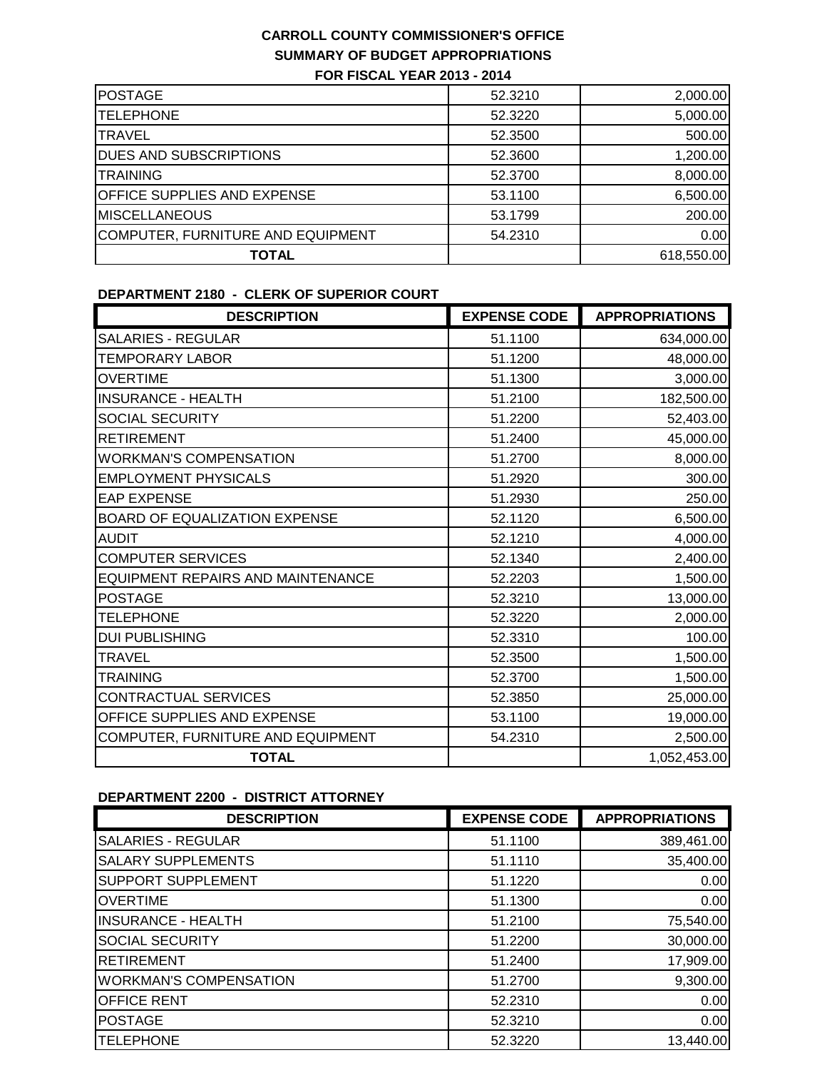| <b>POSTAGE</b>                     | 52,3210 | 2,000.00   |
|------------------------------------|---------|------------|
| <b>TELEPHONE</b>                   | 52.3220 | 5,000.00   |
| <b>TRAVEL</b>                      | 52,3500 | 500.00     |
| <b>DUES AND SUBSCRIPTIONS</b>      | 52.3600 | 1,200.00   |
| <b>ITRAINING</b>                   | 52.3700 | 8,000.00   |
| <b>OFFICE SUPPLIES AND EXPENSE</b> | 53.1100 | 6,500.00   |
| <b>MISCELLANEOUS</b>               | 53.1799 | 200.00     |
| COMPUTER, FURNITURE AND EQUIPMENT  | 54.2310 | 0.00       |
| <b>TOTAL</b>                       |         | 618,550.00 |
|                                    |         |            |

### **DEPARTMENT 2180 - CLERK OF SUPERIOR COURT**

| <b>DESCRIPTION</b>                       | <b>EXPENSE CODE</b> | <b>APPROPRIATIONS</b> |
|------------------------------------------|---------------------|-----------------------|
| <b>SALARIES - REGULAR</b>                | 51.1100             | 634,000.00            |
| <b>TEMPORARY LABOR</b>                   | 51.1200             | 48,000.00             |
| <b>OVERTIME</b>                          | 51.1300             | 3,000.00              |
| <b>INSURANCE - HEALTH</b>                | 51.2100             | 182,500.00            |
| SOCIAL SECURITY                          | 51.2200             | 52,403.00             |
| <b>RETIREMENT</b>                        | 51.2400             | 45,000.00             |
| <b>WORKMAN'S COMPENSATION</b>            | 51.2700             | 8,000.00              |
| <b>EMPLOYMENT PHYSICALS</b>              | 51.2920             | 300.00                |
| <b>EAP EXPENSE</b>                       | 51.2930             | 250.00                |
| BOARD OF EQUALIZATION EXPENSE            | 52.1120             | 6,500.00              |
| <b>AUDIT</b>                             | 52.1210             | 4,000.00              |
| <b>COMPUTER SERVICES</b>                 | 52.1340             | 2,400.00              |
| <b>EQUIPMENT REPAIRS AND MAINTENANCE</b> | 52.2203             | 1,500.00              |
| <b>POSTAGE</b>                           | 52.3210             | 13,000.00             |
| <b>TELEPHONE</b>                         | 52.3220             | 2,000.00              |
| <b>DUI PUBLISHING</b>                    | 52.3310             | 100.00                |
| <b>TRAVEL</b>                            | 52.3500             | 1,500.00              |
| <b>TRAINING</b>                          | 52.3700             | 1,500.00              |
| CONTRACTUAL SERVICES                     | 52.3850             | 25,000.00             |
| OFFICE SUPPLIES AND EXPENSE              | 53.1100             | 19,000.00             |
| COMPUTER, FURNITURE AND EQUIPMENT        | 54.2310             | 2,500.00              |
| <b>TOTAL</b>                             |                     | 1,052,453.00          |

# **DEPARTMENT 2200 - DISTRICT ATTORNEY**

| <b>DESCRIPTION</b>            | <b>EXPENSE CODE</b> | <b>APPROPRIATIONS</b> |
|-------------------------------|---------------------|-----------------------|
| <b>SALARIES - REGULAR</b>     | 51.1100             | 389,461.00            |
| <b>SALARY SUPPLEMENTS</b>     | 51.1110             | 35,400.00             |
| <b>SUPPORT SUPPLEMENT</b>     | 51.1220             | 0.00                  |
| <b>OVERTIME</b>               | 51.1300             | 0.00                  |
| <b>INSURANCE - HEALTH</b>     | 51.2100             | 75,540.00             |
| <b>SOCIAL SECURITY</b>        | 51.2200             | 30,000.00             |
| <b>RETIREMENT</b>             | 51.2400             | 17,909.00             |
| <b>WORKMAN'S COMPENSATION</b> | 51.2700             | 9,300.00              |
| <b>OFFICE RENT</b>            | 52.2310             | 0.00                  |
| <b>POSTAGE</b>                | 52.3210             | 0.00                  |
| <b>TELEPHONE</b>              | 52.3220             | 13,440.00             |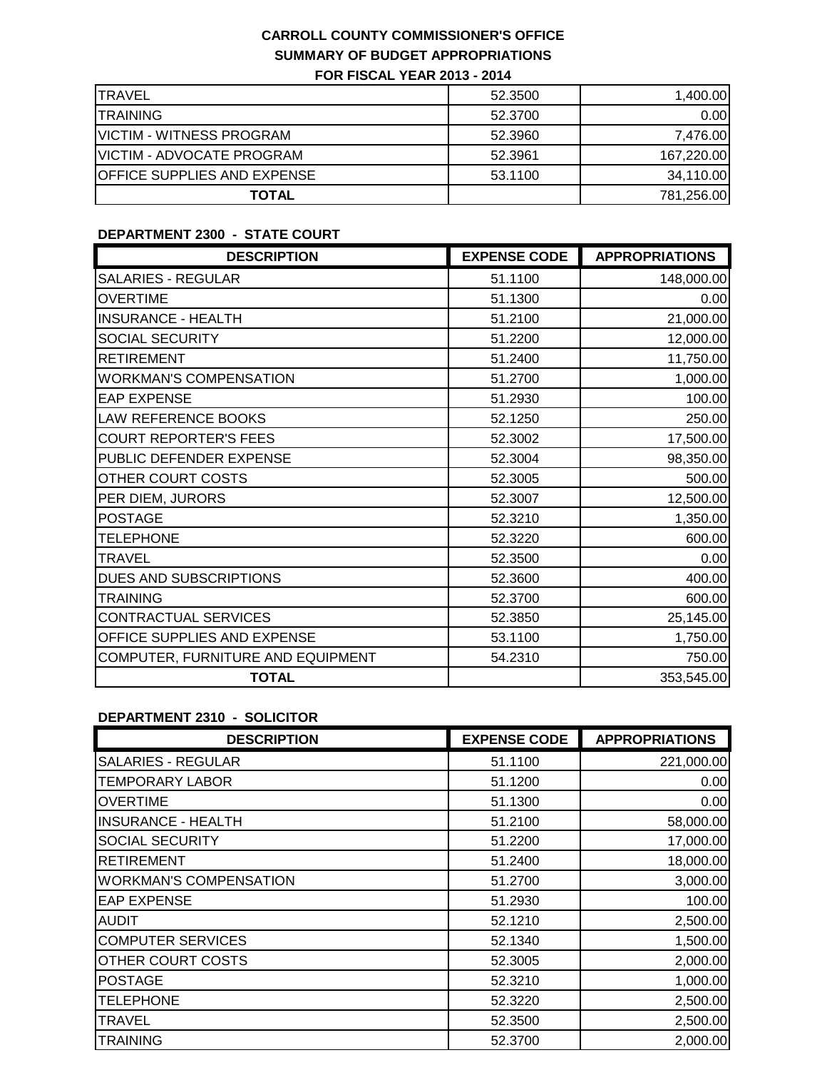| <b>ITRAVEL</b>                     | 52,3500 | 1,400.00   |
|------------------------------------|---------|------------|
| <b>ITRAINING</b>                   | 52.3700 | 0.00       |
| <b>VICTIM - WITNESS PROGRAM</b>    | 52.3960 | 7,476.00   |
| <b>VICTIM - ADVOCATE PROGRAM</b>   | 52.3961 | 167,220.00 |
| <b>OFFICE SUPPLIES AND EXPENSE</b> | 53.1100 | 34,110.00  |
| <b>TOTAL</b>                       |         | 781,256.00 |

# **DEPARTMENT 2300 - STATE COURT**

| <b>DESCRIPTION</b>                | <b>EXPENSE CODE</b> | <b>APPROPRIATIONS</b> |
|-----------------------------------|---------------------|-----------------------|
| <b>SALARIES - REGULAR</b>         | 51.1100             | 148,000.00            |
| <b>OVERTIME</b>                   | 51.1300             | 0.00                  |
| <b>INSURANCE - HEALTH</b>         | 51.2100             | 21,000.00             |
| SOCIAL SECURITY                   | 51.2200             | 12,000.00             |
| <b>RETIREMENT</b>                 | 51.2400             | 11,750.00             |
| <b>WORKMAN'S COMPENSATION</b>     | 51.2700             | 1,000.00              |
| <b>EAP EXPENSE</b>                | 51.2930             | 100.00                |
| LAW REFERENCE BOOKS               | 52.1250             | 250.00                |
| <b>COURT REPORTER'S FEES</b>      | 52.3002             | 17,500.00             |
| PUBLIC DEFENDER EXPENSE           | 52.3004             | 98,350.00             |
| OTHER COURT COSTS                 | 52.3005             | 500.00                |
| PER DIEM, JURORS                  | 52.3007             | 12,500.00             |
| <b>POSTAGE</b>                    | 52.3210             | 1,350.00              |
| <b>TELEPHONE</b>                  | 52.3220             | 600.00                |
| <b>TRAVEL</b>                     | 52.3500             | 0.00                  |
| DUES AND SUBSCRIPTIONS            | 52.3600             | 400.00                |
| <b>TRAINING</b>                   | 52.3700             | 600.00                |
| CONTRACTUAL SERVICES              | 52.3850             | 25,145.00             |
| OFFICE SUPPLIES AND EXPENSE       | 53.1100             | 1,750.00              |
| COMPUTER, FURNITURE AND EQUIPMENT | 54.2310             | 750.00                |
| <b>TOTAL</b>                      |                     | 353,545.00            |

#### **DEPARTMENT 2310 - SOLICITOR**

| <b>DESCRIPTION</b>            | <b>EXPENSE CODE</b> | <b>APPROPRIATIONS</b> |
|-------------------------------|---------------------|-----------------------|
| <b>SALARIES - REGULAR</b>     | 51.1100             | 221,000.00            |
| <b>TEMPORARY LABOR</b>        | 51.1200             | 0.00                  |
| <b>OVERTIME</b>               | 51.1300             | 0.00                  |
| <b>INSURANCE - HEALTH</b>     | 51.2100             | 58,000.00             |
| SOCIAL SECURITY               | 51.2200             | 17,000.00             |
| <b>RETIREMENT</b>             | 51.2400             | 18,000.00             |
| <b>WORKMAN'S COMPENSATION</b> | 51.2700             | 3,000.00              |
| <b>EAP EXPENSE</b>            | 51.2930             | 100.00                |
| <b>AUDIT</b>                  | 52.1210             | 2,500.00              |
| <b>COMPUTER SERVICES</b>      | 52.1340             | 1,500.00              |
| OTHER COURT COSTS             | 52,3005             | 2,000.00              |
| <b>POSTAGE</b>                | 52.3210             | 1,000.00              |
| <b>TELEPHONE</b>              | 52.3220             | 2,500.00              |
| <b>TRAVEL</b>                 | 52.3500             | 2,500.00              |
| <b>TRAINING</b>               | 52.3700             | 2,000.00              |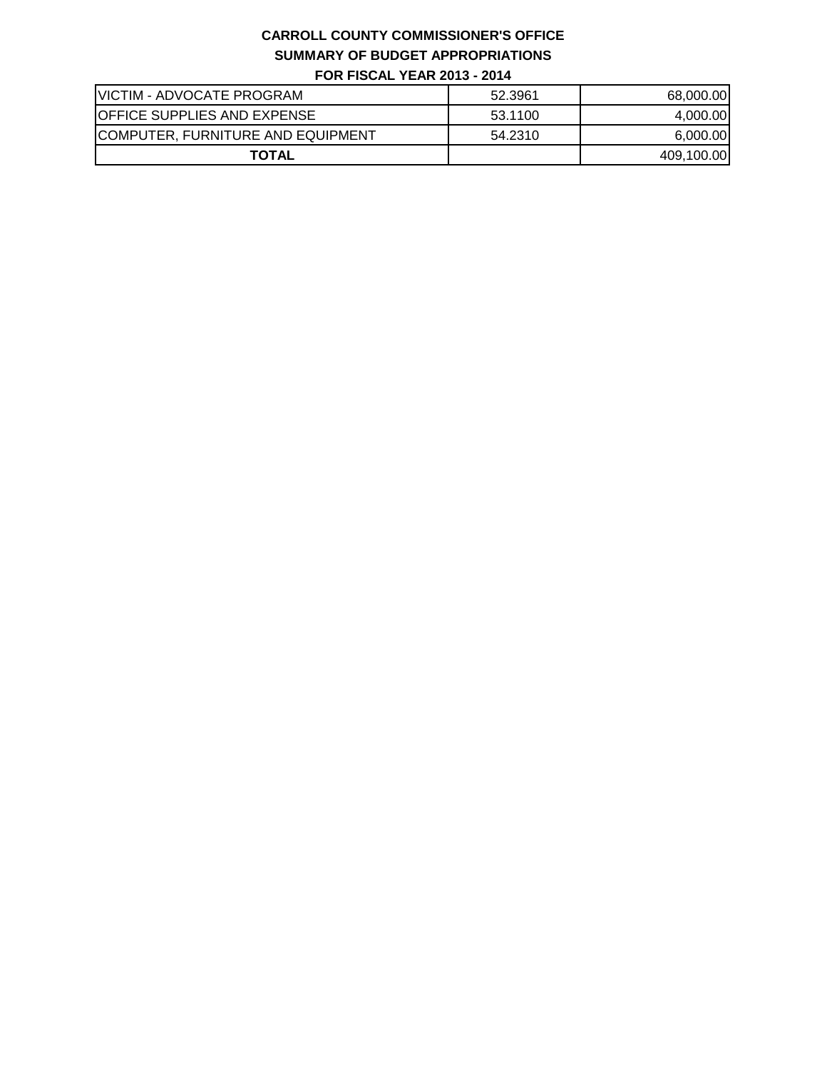| <b>VICTIM - ADVOCATE PROGRAM</b>   | 52.3961 | 68,000.00  |
|------------------------------------|---------|------------|
| <b>OFFICE SUPPLIES AND EXPENSE</b> | 53.1100 | 4,000.00   |
| COMPUTER, FURNITURE AND EQUIPMENT  | 54.2310 | 6,000.00   |
| <b>TOTAL</b>                       |         | 409,100.00 |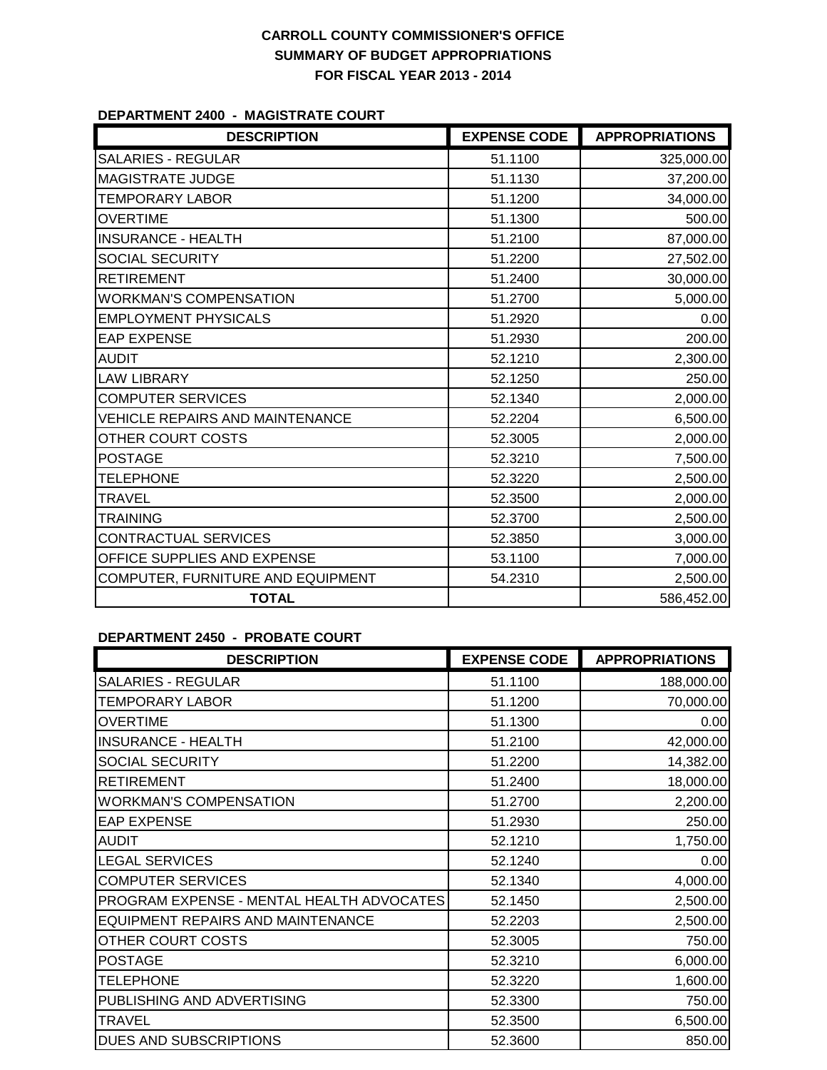#### **DEPARTMENT 2400 - MAGISTRATE COURT**

| <b>DESCRIPTION</b>                     | <b>EXPENSE CODE</b> | <b>APPROPRIATIONS</b> |
|----------------------------------------|---------------------|-----------------------|
| <b>SALARIES - REGULAR</b>              | 51.1100             | 325,000.00            |
| <b>MAGISTRATE JUDGE</b>                | 51.1130             | 37,200.00             |
| <b>TEMPORARY LABOR</b>                 | 51.1200             | 34,000.00             |
| <b>OVERTIME</b>                        | 51.1300             | 500.00                |
| <b>INSURANCE - HEALTH</b>              | 51.2100             | 87,000.00             |
| <b>SOCIAL SECURITY</b>                 | 51.2200             | 27,502.00             |
| <b>RETIREMENT</b>                      | 51.2400             | 30,000.00             |
| <b>WORKMAN'S COMPENSATION</b>          | 51.2700             | 5,000.00              |
| <b>EMPLOYMENT PHYSICALS</b>            | 51.2920             | 0.00                  |
| <b>EAP EXPENSE</b>                     | 51.2930             | 200.00                |
| <b>AUDIT</b>                           | 52.1210             | 2,300.00              |
| <b>LAW LIBRARY</b>                     | 52.1250             | 250.00                |
| <b>COMPUTER SERVICES</b>               | 52.1340             | 2,000.00              |
| <b>VEHICLE REPAIRS AND MAINTENANCE</b> | 52.2204             | 6,500.00              |
| OTHER COURT COSTS                      | 52.3005             | 2,000.00              |
| <b>POSTAGE</b>                         | 52.3210             | 7,500.00              |
| <b>TELEPHONE</b>                       | 52.3220             | 2,500.00              |
| <b>TRAVEL</b>                          | 52.3500             | 2,000.00              |
| <b>TRAINING</b>                        | 52.3700             | 2,500.00              |
| <b>CONTRACTUAL SERVICES</b>            | 52.3850             | 3,000.00              |
| OFFICE SUPPLIES AND EXPENSE            | 53.1100             | 7,000.00              |
| COMPUTER, FURNITURE AND EQUIPMENT      | 54.2310             | 2,500.00              |
| <b>TOTAL</b>                           |                     | 586,452.00            |

#### **DEPARTMENT 2450 - PROBATE COURT**

| <b>DESCRIPTION</b>                        | <b>EXPENSE CODE</b> | <b>APPROPRIATIONS</b> |
|-------------------------------------------|---------------------|-----------------------|
| <b>SALARIES - REGULAR</b>                 | 51.1100             | 188,000.00            |
| TEMPORARY LABOR                           | 51.1200             | 70,000.00             |
| <b>OVERTIME</b>                           | 51.1300             | 0.00                  |
| <b>INSURANCE - HEALTH</b>                 | 51.2100             | 42,000.00             |
| SOCIAL SECURITY                           | 51.2200             | 14,382.00             |
| <b>RETIREMENT</b>                         | 51.2400             | 18,000.00             |
| <b>WORKMAN'S COMPENSATION</b>             | 51.2700             | 2,200.00              |
| <b>EAP EXPENSE</b>                        | 51.2930             | 250.00                |
| <b>AUDIT</b>                              | 52.1210             | 1,750.00              |
| <b>LEGAL SERVICES</b>                     | 52.1240             | 0.00                  |
| <b>COMPUTER SERVICES</b>                  | 52.1340             | 4,000.00              |
| PROGRAM EXPENSE - MENTAL HEALTH ADVOCATES | 52.1450             | 2,500.00              |
| EQUIPMENT REPAIRS AND MAINTENANCE         | 52.2203             | 2,500.00              |
| OTHER COURT COSTS                         | 52.3005             | 750.00                |
| <b>POSTAGE</b>                            | 52.3210             | 6,000.00              |
| <b>TELEPHONE</b>                          | 52.3220             | 1,600.00              |
| PUBLISHING AND ADVERTISING                | 52.3300             | 750.00                |
| <b>TRAVEL</b>                             | 52.3500             | 6,500.00              |
| DUES AND SUBSCRIPTIONS                    | 52.3600             | 850.00                |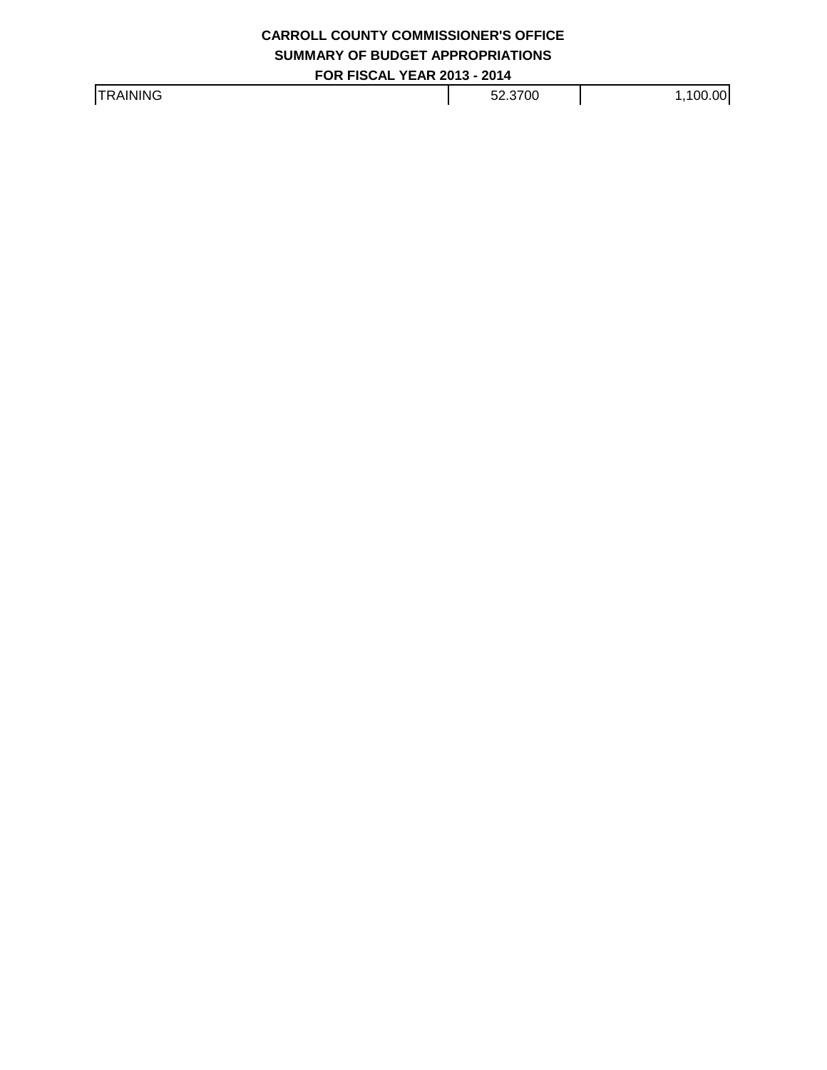TRAINING 1,100.00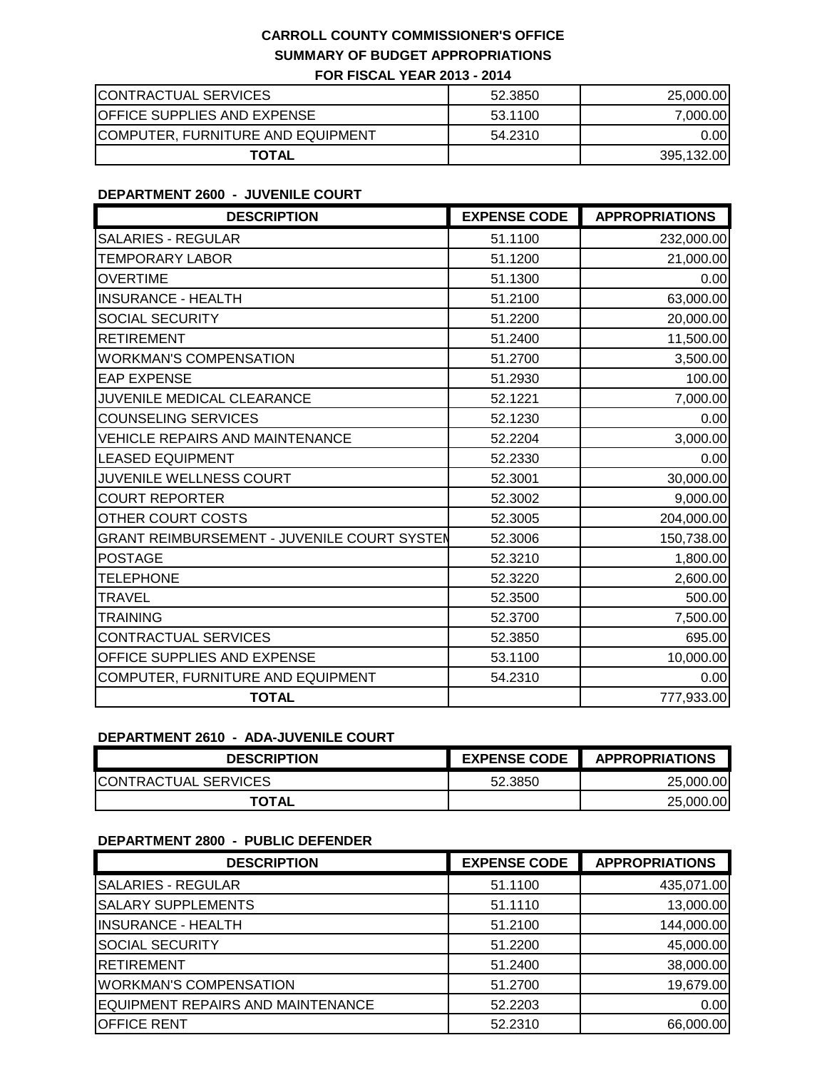| CONTRACTUAL SERVICES               | 52.3850 | 25,000.00  |
|------------------------------------|---------|------------|
| <b>OFFICE SUPPLIES AND EXPENSE</b> | 53.1100 | 7,000.00   |
| COMPUTER, FURNITURE AND EQUIPMENT  | 54.2310 | 0.00       |
| <b>TOTAL</b>                       |         | 395,132.00 |

### **DEPARTMENT 2600 - JUVENILE COURT**

| <b>DESCRIPTION</b>                                 | <b>EXPENSE CODE</b> | <b>APPROPRIATIONS</b> |
|----------------------------------------------------|---------------------|-----------------------|
| <b>SALARIES - REGULAR</b>                          | 51.1100             | 232,000.00            |
| <b>TEMPORARY LABOR</b>                             | 51.1200             | 21,000.00             |
| <b>OVERTIME</b>                                    | 51.1300             | 0.00                  |
| <b>INSURANCE - HEALTH</b>                          | 51.2100             | 63,000.00             |
| SOCIAL SECURITY                                    | 51.2200             | 20,000.00             |
| <b>RETIREMENT</b>                                  | 51.2400             | 11,500.00             |
| <b>WORKMAN'S COMPENSATION</b>                      | 51.2700             | 3,500.00              |
| <b>EAP EXPENSE</b>                                 | 51.2930             | 100.00                |
| JUVENILE MEDICAL CLEARANCE                         | 52.1221             | 7,000.00              |
| <b>COUNSELING SERVICES</b>                         | 52.1230             | 0.00                  |
| <b>VEHICLE REPAIRS AND MAINTENANCE</b>             | 52.2204             | 3,000.00              |
| <b>LEASED EQUIPMENT</b>                            | 52.2330             | 0.00                  |
| JUVENILE WELLNESS COURT                            | 52.3001             | 30,000.00             |
| <b>COURT REPORTER</b>                              | 52.3002             | 9,000.00              |
| OTHER COURT COSTS                                  | 52.3005             | 204,000.00            |
| <b>GRANT REIMBURSEMENT - JUVENILE COURT SYSTEM</b> | 52.3006             | 150,738.00            |
| <b>POSTAGE</b>                                     | 52.3210             | 1,800.00              |
| <b>TELEPHONE</b>                                   | 52.3220             | 2,600.00              |
| <b>TRAVEL</b>                                      | 52.3500             | 500.00                |
| <b>TRAINING</b>                                    | 52.3700             | 7,500.00              |
| <b>CONTRACTUAL SERVICES</b>                        | 52.3850             | 695.00                |
| OFFICE SUPPLIES AND EXPENSE                        | 53.1100             | 10,000.00             |
| COMPUTER, FURNITURE AND EQUIPMENT                  | 54.2310             | 0.00                  |
| <b>TOTAL</b>                                       |                     | 777,933.00            |

### **DEPARTMENT 2610 - ADA-JUVENILE COURT**

| <b>DESCRIPTION</b>           | <b>EXPENSE CODE</b> | <b>APPROPRIATIONS</b> |
|------------------------------|---------------------|-----------------------|
| <b>ICONTRACTUAL SERVICES</b> | 52.3850             | 25,000.00             |
| <b>TOTAL</b>                 |                     | 25,000.00             |

### **DEPARTMENT 2800 - PUBLIC DEFENDER**

| <b>DESCRIPTION</b>                       | <b>EXPENSE CODE</b> | <b>APPROPRIATIONS</b> |
|------------------------------------------|---------------------|-----------------------|
| <b>SALARIES - REGULAR</b>                | 51.1100             | 435,071.00            |
| <b>SALARY SUPPLEMENTS</b>                | 51.1110             | 13,000.00             |
| <b>INSURANCE - HEALTH</b>                | 51.2100             | 144,000.00            |
| <b>SOCIAL SECURITY</b>                   | 51.2200             | 45,000.00             |
| RETIREMENT                               | 51.2400             | 38,000.00             |
| <b>WORKMAN'S COMPENSATION</b>            | 51.2700             | 19,679.00             |
| <b>EQUIPMENT REPAIRS AND MAINTENANCE</b> | 52.2203             | 0.00                  |
| <b>OFFICE RENT</b>                       | 52.2310             | 66,000.00             |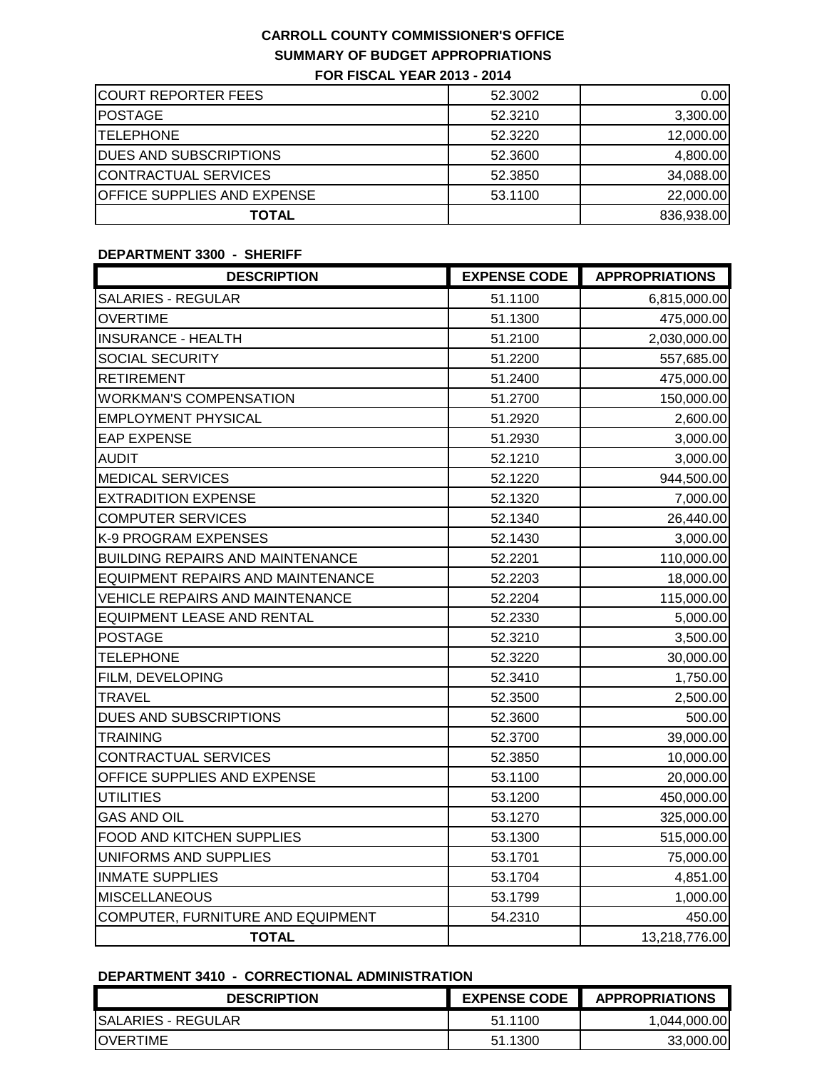| <b>COURT REPORTER FEES</b>         | 52.3002 | 0.00       |
|------------------------------------|---------|------------|
| <b>POSTAGE</b>                     | 52.3210 | 3,300.00   |
| <b>ITELEPHONE</b>                  | 52.3220 | 12,000.00  |
| <b>DUES AND SUBSCRIPTIONS</b>      | 52,3600 | 4.800.00   |
| CONTRACTUAL SERVICES               | 52.3850 | 34,088.00  |
| <b>OFFICE SUPPLIES AND EXPENSE</b> | 53.1100 | 22,000.00  |
| <b>TOTAL</b>                       |         | 836,938.00 |

### **DEPARTMENT 3300 - SHERIFF**

| <b>DESCRIPTION</b>                       | <b>EXPENSE CODE</b> | <b>APPROPRIATIONS</b> |
|------------------------------------------|---------------------|-----------------------|
| <b>SALARIES - REGULAR</b>                | 51.1100             | 6,815,000.00          |
| <b>OVERTIME</b>                          | 51.1300             | 475,000.00            |
| <b>INSURANCE - HEALTH</b>                | 51.2100             | 2,030,000.00          |
| SOCIAL SECURITY                          | 51.2200             | 557,685.00            |
| <b>RETIREMENT</b>                        | 51.2400             | 475,000.00            |
| <b>WORKMAN'S COMPENSATION</b>            | 51.2700             | 150,000.00            |
| EMPLOYMENT PHYSICAL                      | 51.2920             | 2,600.00              |
| <b>EAP EXPENSE</b>                       | 51.2930             | 3,000.00              |
| <b>AUDIT</b>                             | 52.1210             | 3,000.00              |
| <b>MEDICAL SERVICES</b>                  | 52.1220             | 944,500.00            |
| <b>EXTRADITION EXPENSE</b>               | 52.1320             | 7,000.00              |
| <b>COMPUTER SERVICES</b>                 | 52.1340             | 26,440.00             |
| K-9 PROGRAM EXPENSES                     | 52.1430             | 3,000.00              |
| <b>BUILDING REPAIRS AND MAINTENANCE</b>  | 52.2201             | 110,000.00            |
| <b>EQUIPMENT REPAIRS AND MAINTENANCE</b> | 52.2203             | 18,000.00             |
| <b>VEHICLE REPAIRS AND MAINTENANCE</b>   | 52.2204             | 115,000.00            |
| <b>EQUIPMENT LEASE AND RENTAL</b>        | 52.2330             | 5,000.00              |
| <b>POSTAGE</b>                           | 52.3210             | 3,500.00              |
| <b>TELEPHONE</b>                         | 52.3220             | 30,000.00             |
| FILM, DEVELOPING                         | 52.3410             | 1,750.00              |
| <b>TRAVEL</b>                            | 52.3500             | 2,500.00              |
| <b>DUES AND SUBSCRIPTIONS</b>            | 52.3600             | 500.00                |
| TRAINING                                 | 52.3700             | 39,000.00             |
| CONTRACTUAL SERVICES                     | 52.3850             | 10,000.00             |
| OFFICE SUPPLIES AND EXPENSE              | 53.1100             | 20,000.00             |
| <b>UTILITIES</b>                         | 53.1200             | 450,000.00            |
| <b>GAS AND OIL</b>                       | 53.1270             | 325,000.00            |
| FOOD AND KITCHEN SUPPLIES                | 53.1300             | 515,000.00            |
| UNIFORMS AND SUPPLIES                    | 53.1701             | 75,000.00             |
| <b>INMATE SUPPLIES</b>                   | 53.1704             | 4,851.00              |
| <b>MISCELLANEOUS</b>                     | 53.1799             | 1,000.00              |
| COMPUTER, FURNITURE AND EQUIPMENT        | 54.2310             | 450.00                |
| <b>TOTAL</b>                             |                     | 13,218,776.00         |

### **DEPARTMENT 3410 - CORRECTIONAL ADMINISTRATION**

| <b>DESCRIPTION</b>        | <b>EXPENSE CODE</b> | <b>APPROPRIATIONS</b> |
|---------------------------|---------------------|-----------------------|
| <b>SALARIES - REGULAR</b> | 51.1100             | 1,044,000.00          |
| <b>IOVERTIME</b>          | 51.1300             | 33,000,00             |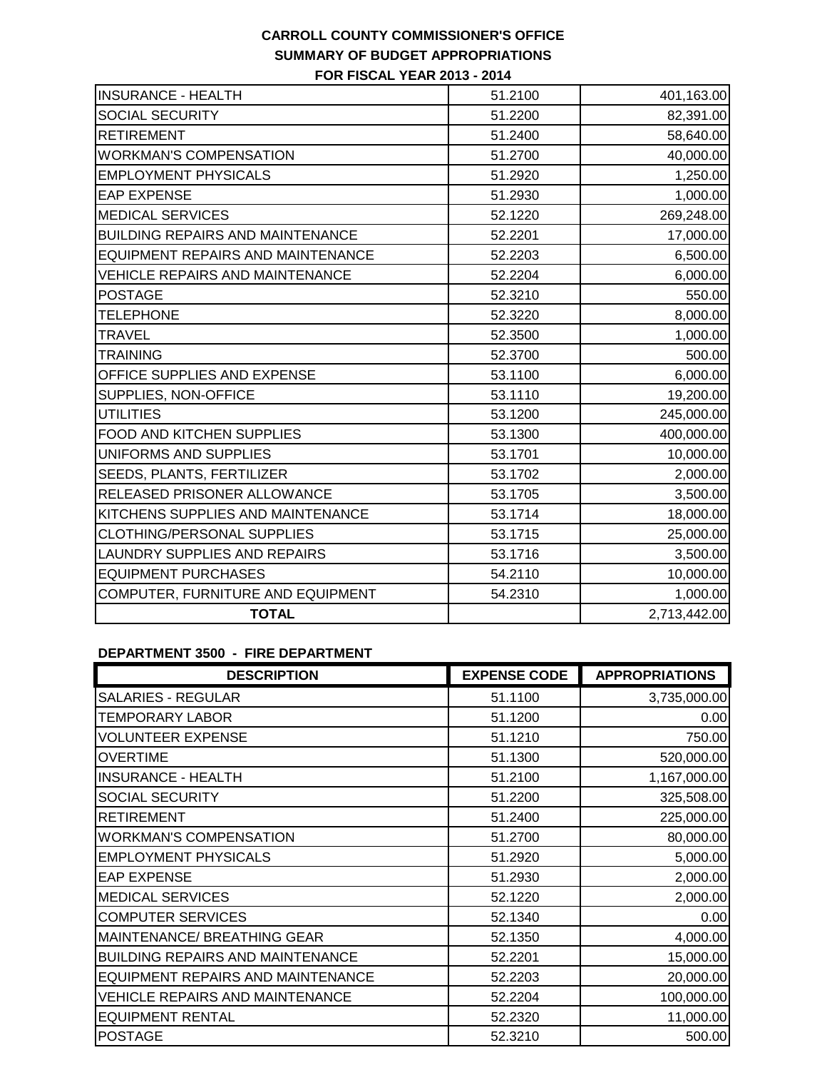| <b>INSURANCE - HEALTH</b>                | 51.2100 | 401,163.00   |
|------------------------------------------|---------|--------------|
| <b>SOCIAL SECURITY</b>                   | 51.2200 | 82,391.00    |
| <b>RETIREMENT</b>                        | 51.2400 | 58,640.00    |
| <b>WORKMAN'S COMPENSATION</b>            | 51.2700 | 40,000.00    |
| <b>EMPLOYMENT PHYSICALS</b>              | 51.2920 | 1,250.00     |
| <b>EAP EXPENSE</b>                       | 51.2930 | 1,000.00     |
| <b>MEDICAL SERVICES</b>                  | 52.1220 | 269,248.00   |
| <b>BUILDING REPAIRS AND MAINTENANCE</b>  | 52.2201 | 17,000.00    |
| <b>EQUIPMENT REPAIRS AND MAINTENANCE</b> | 52.2203 | 6,500.00     |
| <b>VEHICLE REPAIRS AND MAINTENANCE</b>   | 52.2204 | 6,000.00     |
| <b>POSTAGE</b>                           | 52.3210 | 550.00       |
| <b>TELEPHONE</b>                         | 52.3220 | 8,000.00     |
| TRAVEL                                   | 52.3500 | 1,000.00     |
| <b>TRAINING</b>                          | 52.3700 | 500.00       |
| OFFICE SUPPLIES AND EXPENSE              | 53.1100 | 6,000.00     |
| SUPPLIES, NON-OFFICE                     | 53.1110 | 19,200.00    |
| <b>UTILITIES</b>                         | 53.1200 | 245,000.00   |
| FOOD AND KITCHEN SUPPLIES                | 53.1300 | 400,000.00   |
| UNIFORMS AND SUPPLIES                    | 53.1701 | 10,000.00    |
| SEEDS, PLANTS, FERTILIZER                | 53.1702 | 2,000.00     |
| RELEASED PRISONER ALLOWANCE              | 53.1705 | 3,500.00     |
| KITCHENS SUPPLIES AND MAINTENANCE        | 53.1714 | 18,000.00    |
| CLOTHING/PERSONAL SUPPLIES               | 53.1715 | 25,000.00    |
| LAUNDRY SUPPLIES AND REPAIRS             | 53.1716 | 3,500.00     |
| <b>EQUIPMENT PURCHASES</b>               | 54.2110 | 10,000.00    |
| COMPUTER, FURNITURE AND EQUIPMENT        | 54.2310 | 1,000.00     |
| <b>TOTAL</b>                             |         | 2,713,442.00 |

### **DEPARTMENT 3500 - FIRE DEPARTMENT**

| <b>DESCRIPTION</b>                      | <b>EXPENSE CODE</b> | <b>APPROPRIATIONS</b> |
|-----------------------------------------|---------------------|-----------------------|
| <b>SALARIES - REGULAR</b>               | 51.1100             | 3,735,000.00          |
| <b>TEMPORARY LABOR</b>                  | 51.1200             | 0.00                  |
| <b>VOLUNTEER EXPENSE</b>                | 51.1210             | 750.00                |
| <b>OVERTIME</b>                         | 51.1300             | 520,000.00            |
| <b>INSURANCE - HEALTH</b>               | 51.2100             | 1,167,000.00          |
| SOCIAL SECURITY                         | 51.2200             | 325,508.00            |
| <b>RETIREMENT</b>                       | 51.2400             | 225,000.00            |
| <b>WORKMAN'S COMPENSATION</b>           | 51.2700             | 80,000.00             |
| <b>EMPLOYMENT PHYSICALS</b>             | 51.2920             | 5,000.00              |
| <b>EAP EXPENSE</b>                      | 51.2930             | 2,000.00              |
| <b>MEDICAL SERVICES</b>                 | 52.1220             | 2,000.00              |
| <b>COMPUTER SERVICES</b>                | 52.1340             | 0.00                  |
| MAINTENANCE/ BREATHING GEAR             | 52.1350             | 4,000.00              |
| <b>BUILDING REPAIRS AND MAINTENANCE</b> | 52.2201             | 15,000.00             |
| EQUIPMENT REPAIRS AND MAINTENANCE       | 52.2203             | 20,000.00             |
| <b>VEHICLE REPAIRS AND MAINTENANCE</b>  | 52.2204             | 100,000.00            |
| <b>EQUIPMENT RENTAL</b>                 | 52.2320             | 11,000.00             |
| <b>POSTAGE</b>                          | 52.3210             | 500.00                |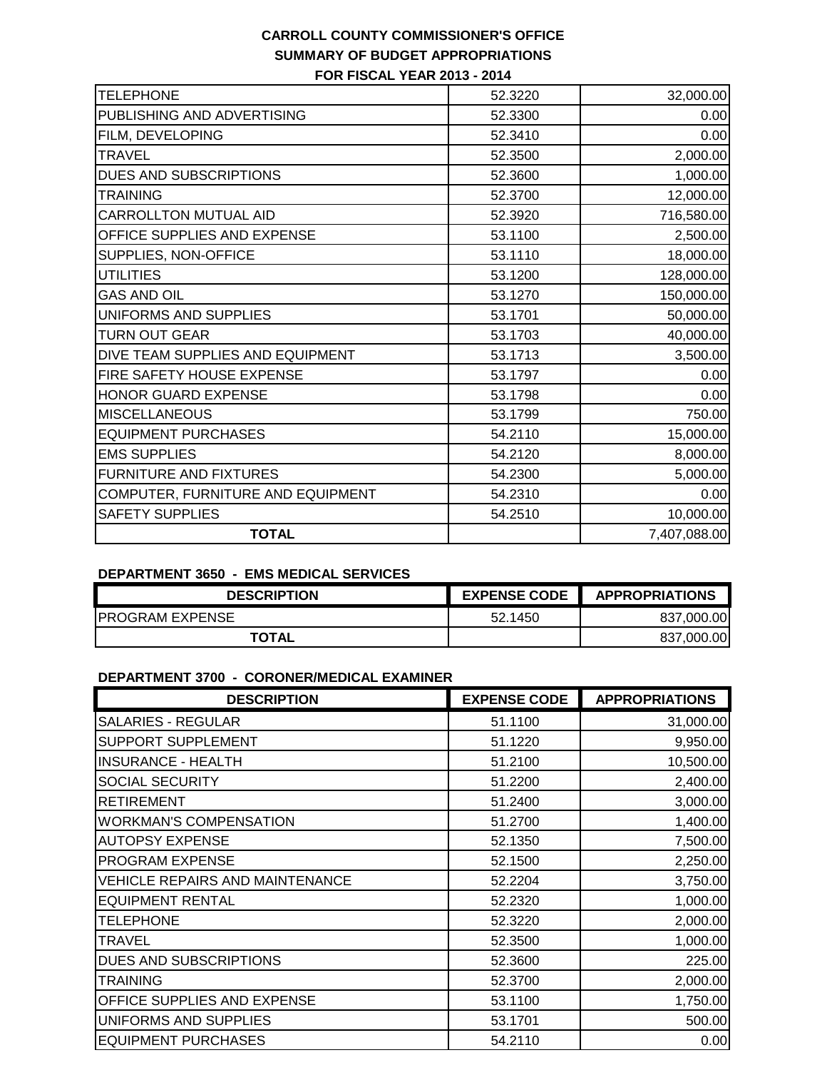| <b>TELEPHONE</b>                  | 52.3220 | 32,000.00    |
|-----------------------------------|---------|--------------|
| PUBLISHING AND ADVERTISING        | 52.3300 | 0.00         |
| FILM, DEVELOPING                  | 52.3410 | 0.00         |
| <b>TRAVEL</b>                     | 52.3500 | 2,000.00     |
| DUES AND SUBSCRIPTIONS            | 52.3600 | 1,000.00     |
| <b>TRAINING</b>                   | 52.3700 | 12,000.00    |
| CARROLLTON MUTUAL AID             | 52.3920 | 716,580.00   |
| OFFICE SUPPLIES AND EXPENSE       | 53.1100 | 2,500.00     |
| SUPPLIES, NON-OFFICE              | 53.1110 | 18,000.00    |
| <b>UTILITIES</b>                  | 53.1200 | 128,000.00   |
| <b>GAS AND OIL</b>                | 53.1270 | 150,000.00   |
| UNIFORMS AND SUPPLIES             | 53.1701 | 50,000.00    |
| <b>TURN OUT GEAR</b>              | 53.1703 | 40,000.00    |
| DIVE TEAM SUPPLIES AND EQUIPMENT  | 53.1713 | 3,500.00     |
| FIRE SAFETY HOUSE EXPENSE         | 53.1797 | 0.00         |
| HONOR GUARD EXPENSE               | 53.1798 | 0.00         |
| <b>MISCELLANEOUS</b>              | 53.1799 | 750.00       |
| <b>EQUIPMENT PURCHASES</b>        | 54.2110 | 15,000.00    |
| <b>EMS SUPPLIES</b>               | 54.2120 | 8,000.00     |
| <b>FURNITURE AND FIXTURES</b>     | 54.2300 | 5,000.00     |
| COMPUTER, FURNITURE AND EQUIPMENT | 54.2310 | 0.00         |
| SAFETY SUPPLIES                   | 54.2510 | 10,000.00    |
| <b>TOTAL</b>                      |         | 7,407,088.00 |

### **DEPARTMENT 3650 - EMS MEDICAL SERVICES**

| <b>DESCRIPTION</b>      | <b>EXPENSE CODE</b> | <b>APPROPRIATIONS</b> |
|-------------------------|---------------------|-----------------------|
| <b>IPROGRAM EXPENSE</b> | 52.1450             | 837,000.00            |
| <b>TOTAL</b>            |                     | 837,000.00            |

# **DEPARTMENT 3700 - CORONER/MEDICAL EXAMINER**

| <b>DESCRIPTION</b>              | <b>EXPENSE CODE</b> | <b>APPROPRIATIONS</b> |
|---------------------------------|---------------------|-----------------------|
| <b>SALARIES - REGULAR</b>       | 51.1100             | 31,000.00             |
| SUPPORT SUPPLEMENT              | 51.1220             | 9,950.00              |
| <b>INSURANCE - HEALTH</b>       | 51.2100             | 10,500.00             |
| SOCIAL SECURITY                 | 51.2200             | 2,400.00              |
| <b>RETIREMENT</b>               | 51.2400             | 3,000.00              |
| <b>WORKMAN'S COMPENSATION</b>   | 51.2700             | 1,400.00              |
| <b>AUTOPSY EXPENSE</b>          | 52.1350             | 7,500.00              |
| <b>PROGRAM EXPENSE</b>          | 52.1500             | 2,250.00              |
| VEHICLE REPAIRS AND MAINTENANCE | 52.2204             | 3,750.00              |
| <b>EQUIPMENT RENTAL</b>         | 52.2320             | 1,000.00              |
| <b>TELEPHONE</b>                | 52.3220             | 2,000.00              |
| <b>TRAVEL</b>                   | 52,3500             | 1,000.00              |
| DUES AND SUBSCRIPTIONS          | 52,3600             | 225.00                |
| <b>TRAINING</b>                 | 52.3700             | 2,000.00              |
| OFFICE SUPPLIES AND EXPENSE     | 53.1100             | 1,750.00              |
| UNIFORMS AND SUPPLIES           | 53.1701             | 500.00                |
| <b>EQUIPMENT PURCHASES</b>      | 54.2110             | 0.00                  |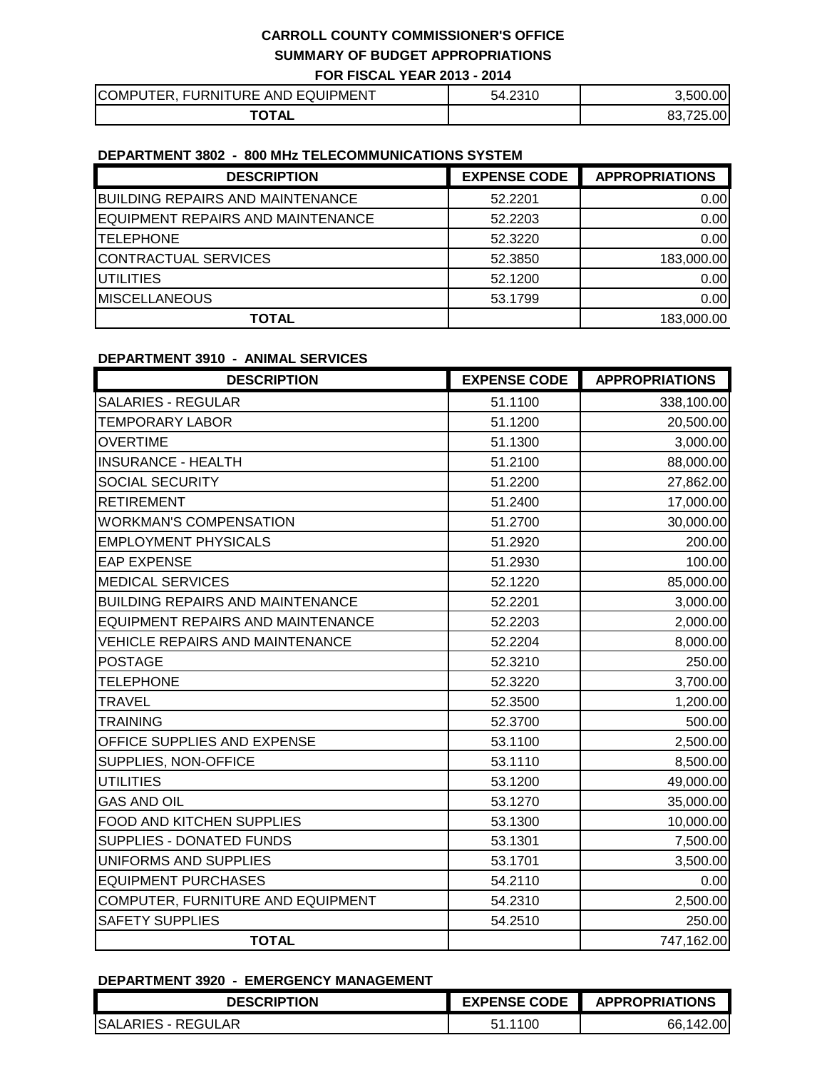| <b>ITER, FURNITURE AND EQUIPMENT</b><br><b>COMPU</b> | 54.2310 | .500.00                     |
|------------------------------------------------------|---------|-----------------------------|
| ۱ТΔ'<br><b>AL</b>                                    |         | $-0.00$<br>ດດ<br>フクロ<br>οэ. |

# **DEPARTMENT 3802 - 800 MHz TELECOMMUNICATIONS SYSTEM**

| <b>DESCRIPTION</b>                      | <b>EXPENSE CODE</b> | <b>APPROPRIATIONS</b> |
|-----------------------------------------|---------------------|-----------------------|
| <b>BUILDING REPAIRS AND MAINTENANCE</b> | 52.2201             | 0.00                  |
| EQUIPMENT REPAIRS AND MAINTENANCE       | 52.2203             | 0.00                  |
| <b>ITELEPHONE</b>                       | 52.3220             | 0.00                  |
| CONTRACTUAL SERVICES                    | 52.3850             | 183,000.00            |
| <b>UTILITIES</b>                        | 52.1200             | 0.00                  |
| <b>MISCELLANEOUS</b>                    | 53.1799             | 0.00                  |
| <b>TOTAL</b>                            |                     | 183,000.00            |

#### **DEPARTMENT 3910 - ANIMAL SERVICES**

| <b>DESCRIPTION</b>                      | <b>EXPENSE CODE</b> | <b>APPROPRIATIONS</b> |
|-----------------------------------------|---------------------|-----------------------|
| <b>SALARIES - REGULAR</b>               | 51.1100             | 338,100.00            |
| <b>TEMPORARY LABOR</b>                  | 51.1200             | 20,500.00             |
| <b>OVERTIME</b>                         | 51.1300             | 3,000.00              |
| <b>INSURANCE - HEALTH</b>               | 51.2100             | 88,000.00             |
| <b>SOCIAL SECURITY</b>                  | 51.2200             | 27,862.00             |
| <b>RETIREMENT</b>                       | 51.2400             | 17,000.00             |
| <b>WORKMAN'S COMPENSATION</b>           | 51.2700             | 30,000.00             |
| <b>EMPLOYMENT PHYSICALS</b>             | 51.2920             | 200.00                |
| <b>EAP EXPENSE</b>                      | 51.2930             | 100.00                |
| <b>MEDICAL SERVICES</b>                 | 52.1220             | 85,000.00             |
| <b>BUILDING REPAIRS AND MAINTENANCE</b> | 52.2201             | 3,000.00              |
| EQUIPMENT REPAIRS AND MAINTENANCE       | 52.2203             | 2,000.00              |
| <b>VEHICLE REPAIRS AND MAINTENANCE</b>  | 52.2204             | 8,000.00              |
| <b>POSTAGE</b>                          | 52.3210             | 250.00                |
| <b>TELEPHONE</b>                        | 52.3220             | 3,700.00              |
| <b>TRAVEL</b>                           | 52.3500             | 1,200.00              |
| <b>TRAINING</b>                         | 52.3700             | 500.00                |
| OFFICE SUPPLIES AND EXPENSE             | 53.1100             | 2,500.00              |
| SUPPLIES, NON-OFFICE                    | 53.1110             | 8,500.00              |
| <b>UTILITIES</b>                        | 53.1200             | 49,000.00             |
| <b>GAS AND OIL</b>                      | 53.1270             | 35,000.00             |
| <b>FOOD AND KITCHEN SUPPLIES</b>        | 53.1300             | 10,000.00             |
| SUPPLIES - DONATED FUNDS                | 53.1301             | 7,500.00              |
| UNIFORMS AND SUPPLIES                   | 53.1701             | 3,500.00              |
| <b>EQUIPMENT PURCHASES</b>              | 54.2110             | 0.00                  |
| COMPUTER, FURNITURE AND EQUIPMENT       | 54.2310             | 2,500.00              |
| <b>SAFETY SUPPLIES</b>                  | 54.2510             | 250.00                |
| <b>TOTAL</b>                            |                     | 747,162.00            |

#### **DEPARTMENT 3920 - EMERGENCY MANAGEMENT**

| <b>DESCRIPTION</b>        | <b>EXPENSE CODE</b> | <b>APPROPRIATIONS</b> |
|---------------------------|---------------------|-----------------------|
| <b>SALARIES - REGULAR</b> |                     | ا 00.∠.<br>66.<br>14' |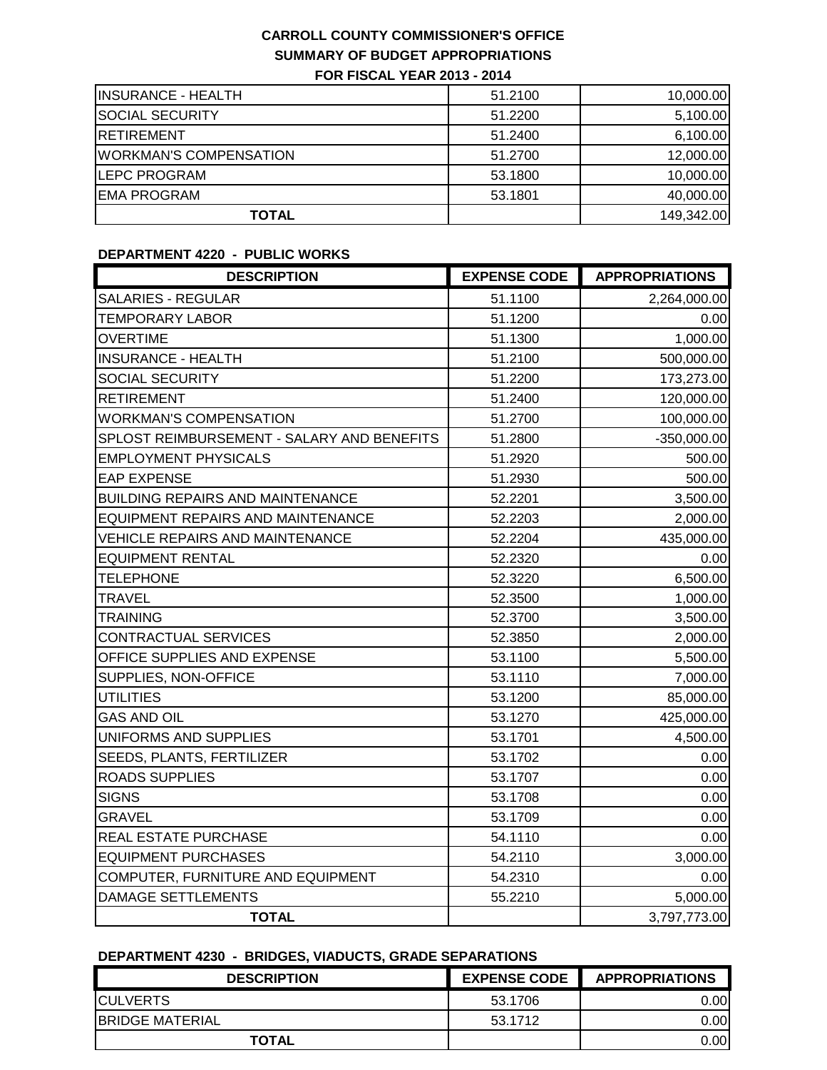| <b>INSURANCE - HEALTH</b>     | 51.2100 | 10,000.00  |
|-------------------------------|---------|------------|
| <b>SOCIAL SECURITY</b>        | 51.2200 | 5,100.00   |
| <b>IRETIREMENT</b>            | 51.2400 | 6,100.00   |
| <b>WORKMAN'S COMPENSATION</b> | 51.2700 | 12,000.00  |
| <b>LEPC PROGRAM</b>           | 53.1800 | 10,000.00  |
| <b>EMA PROGRAM</b>            | 53.1801 | 40,000.00  |
| <b>TOTAL</b>                  |         | 149,342.00 |

### **DEPARTMENT 4220 - PUBLIC WORKS**

| <b>DESCRIPTION</b>                         | <b>EXPENSE CODE</b> | <b>APPROPRIATIONS</b> |
|--------------------------------------------|---------------------|-----------------------|
| <b>SALARIES - REGULAR</b>                  | 51.1100             | 2,264,000.00          |
| <b>TEMPORARY LABOR</b>                     | 51.1200             | 0.00                  |
| <b>OVERTIME</b>                            | 51.1300             | 1,000.00              |
| <b>INSURANCE - HEALTH</b>                  | 51.2100             | 500,000.00            |
| SOCIAL SECURITY                            | 51.2200             | 173,273.00            |
| <b>RETIREMENT</b>                          | 51.2400             | 120,000.00            |
| <b>WORKMAN'S COMPENSATION</b>              | 51.2700             | 100,000.00            |
| SPLOST REIMBURSEMENT - SALARY AND BENEFITS | 51.2800             | $-350,000.00$         |
| <b>EMPLOYMENT PHYSICALS</b>                | 51.2920             | 500.00                |
| <b>EAP EXPENSE</b>                         | 51.2930             | 500.00                |
| <b>BUILDING REPAIRS AND MAINTENANCE</b>    | 52.2201             | 3,500.00              |
| <b>EQUIPMENT REPAIRS AND MAINTENANCE</b>   | 52.2203             | 2,000.00              |
| <b>VEHICLE REPAIRS AND MAINTENANCE</b>     | 52.2204             | 435,000.00            |
| <b>EQUIPMENT RENTAL</b>                    | 52.2320             | 0.00                  |
| <b>TELEPHONE</b>                           | 52.3220             | 6,500.00              |
| <b>TRAVEL</b>                              | 52.3500             | 1,000.00              |
| <b>TRAINING</b>                            | 52.3700             | 3,500.00              |
| <b>CONTRACTUAL SERVICES</b>                | 52.3850             | 2,000.00              |
| OFFICE SUPPLIES AND EXPENSE                | 53.1100             | 5,500.00              |
| SUPPLIES, NON-OFFICE                       | 53.1110             | 7,000.00              |
| <b>UTILITIES</b>                           | 53.1200             | 85,000.00             |
| <b>GAS AND OIL</b>                         | 53.1270             | 425,000.00            |
| UNIFORMS AND SUPPLIES                      | 53.1701             | 4,500.00              |
| SEEDS, PLANTS, FERTILIZER                  | 53.1702             | 0.00                  |
| <b>ROADS SUPPLIES</b>                      | 53.1707             | 0.00                  |
| <b>SIGNS</b>                               | 53.1708             | 0.00                  |
| <b>GRAVEL</b>                              | 53.1709             | 0.00                  |
| <b>REAL ESTATE PURCHASE</b>                | 54.1110             | 0.00                  |
| <b>EQUIPMENT PURCHASES</b>                 | 54.2110             | 3,000.00              |
| COMPUTER, FURNITURE AND EQUIPMENT          | 54.2310             | 0.00                  |
| <b>DAMAGE SETTLEMENTS</b>                  | 55.2210             | 5,000.00              |
| <b>TOTAL</b>                               |                     | 3,797,773.00          |

#### **DEPARTMENT 4230 - BRIDGES, VIADUCTS, GRADE SEPARATIONS**

| <b>DESCRIPTION</b>      | <b>EXPENSE CODE</b> | <b>APPROPRIATIONS</b> |
|-------------------------|---------------------|-----------------------|
| <b>ICULVERTS</b>        | 53.1706             | 0.00I                 |
| <b>IBRIDGE MATERIAL</b> | 53.1712             | 0.001                 |
| <b>TOTAL</b>            |                     | 0.00                  |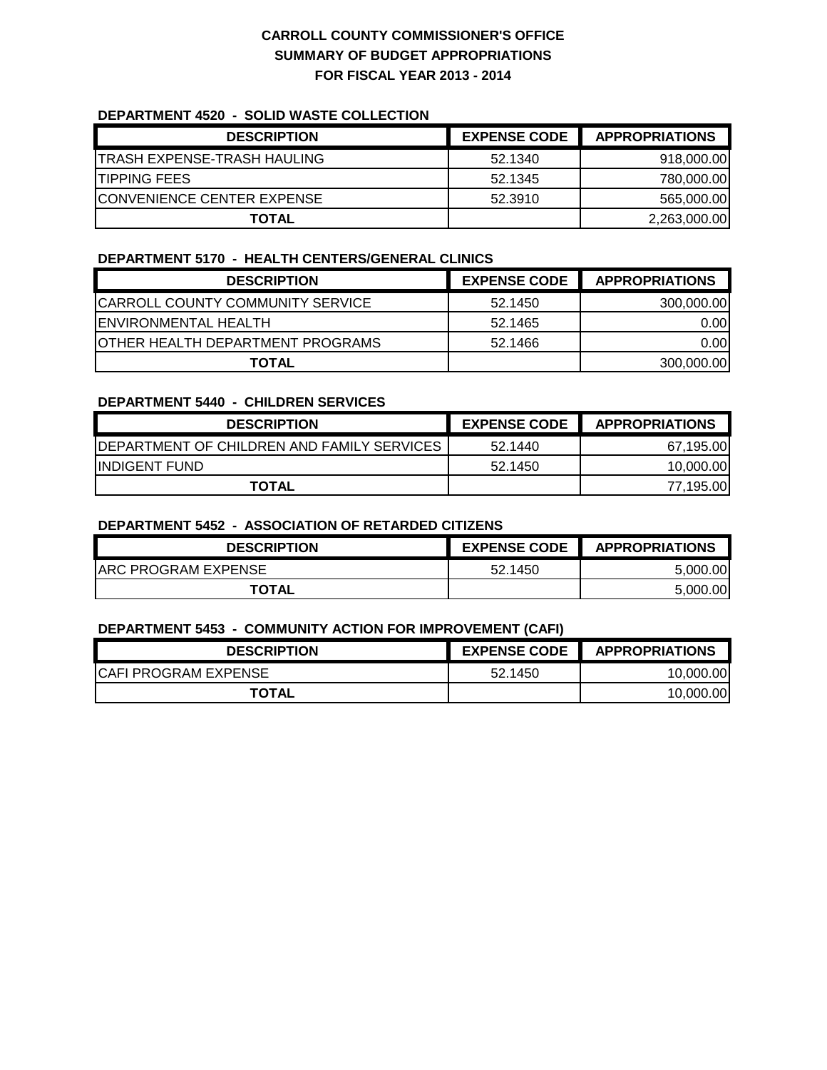#### **DEPARTMENT 4520 - SOLID WASTE COLLECTION**

| <b>DESCRIPTION</b>                 | <b>EXPENSE CODE</b> | <b>APPROPRIATIONS</b> |
|------------------------------------|---------------------|-----------------------|
| ITRASH EXPENSE-TRASH HAULING       | 52.1340             | 918,000.00            |
| <b>ITIPPING FEES</b>               | 52.1345             | 780,000.00            |
| <b>ICONVENIENCE CENTER EXPENSE</b> | 52.3910             | 565,000.00            |
| <b>TOTAL</b>                       |                     | 2,263,000.00          |

#### **DEPARTMENT 5170 - HEALTH CENTERS/GENERAL CLINICS**

| <b>DESCRIPTION</b>                       | <b>EXPENSE CODE</b> | <b>APPROPRIATIONS</b> |
|------------------------------------------|---------------------|-----------------------|
| <b>CARROLL COUNTY COMMUNITY SERVICE</b>  | 52.1450             | 300,000.00            |
| <b>IENVIRONMENTAL HEALTH</b>             | 52.1465             | 0.00                  |
| <b>JOTHER HEALTH DEPARTMENT PROGRAMS</b> | 52.1466             | 0.00                  |
| <b>TOTAL</b>                             |                     | 300,000.00            |

#### **DEPARTMENT 5440 - CHILDREN SERVICES**

| <b>DESCRIPTION</b>                                 | <b>EXPENSE CODE</b> | <b>APPROPRIATIONS</b> |
|----------------------------------------------------|---------------------|-----------------------|
| <b>IDEPARTMENT OF CHILDREN AND FAMILY SERVICES</b> | 52.1440             | 67.195.00             |
| <b>INDIGENT FUND</b>                               | 52.1450             | 10.000.00             |
| <b>TOTAL</b>                                       |                     | 77,195.00             |

#### **DEPARTMENT 5452 - ASSOCIATION OF RETARDED CITIZENS**

| <b>DESCRIPTION</b>   | <b>EXPENSE CODE</b> | <b>APPROPRIATIONS</b> |
|----------------------|---------------------|-----------------------|
| IARC PROGRAM EXPENSE | 52.1450             | 5.000<br>.00          |
| <b>TOTAL</b>         |                     | 5.000<br>.00          |

#### **DEPARTMENT 5453 - COMMUNITY ACTION FOR IMPROVEMENT (CAFI)**

| <b>DESCRIPTION</b>    | <b>EXPENSE CODE</b> | <b>APPROPRIATIONS</b> |
|-----------------------|---------------------|-----------------------|
| ICAFI PROGRAM EXPENSE | 52.1450             | 10.000.00             |
| <b>TOTAL</b>          |                     | 10.000.00             |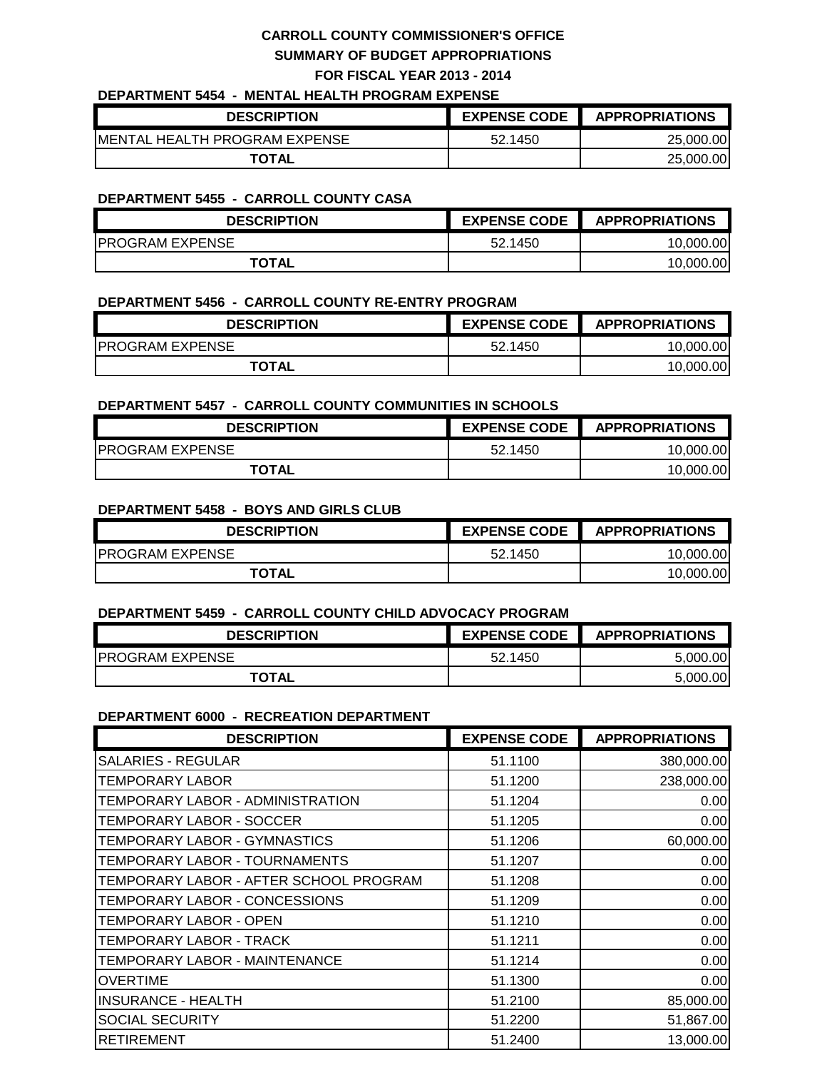### **DEPARTMENT 5454 - MENTAL HEALTH PROGRAM EXPENSE**

| <b>DESCRIPTION</b>             | <b>EXPENSE CODE</b> | <b>APPROPRIATIONS</b> |
|--------------------------------|---------------------|-----------------------|
| IMENTAL HEALTH PROGRAM EXPENSE | 52.1450             | 25,000.00             |
| <b>TOTAL</b>                   |                     | 25.000.00             |

#### **DEPARTMENT 5455 - CARROLL COUNTY CASA**

| <b>DESCRIPTION</b>     | <b>EXPENSE CODE</b> | <b>APPROPRIATIONS</b> |
|------------------------|---------------------|-----------------------|
| <b>PROGRAM EXPENSE</b> | 52.1450             | 10.000.00             |
| <b>TOTAL</b>           |                     | 10.000.00             |

#### **DEPARTMENT 5456 - CARROLL COUNTY RE-ENTRY PROGRAM**

| <b>DESCRIPTION</b>     | <b>EXPENSE CODE</b> | <b>APPROPRIATIONS</b> |
|------------------------|---------------------|-----------------------|
| <b>PROGRAM EXPENSE</b> | 52.1450             | 10.000.00             |
| <b>TOTAL</b>           |                     | 10.000.00             |

### **DEPARTMENT 5457 - CARROLL COUNTY COMMUNITIES IN SCHOOLS**

| <b>DESCRIPTION</b>      | <b>EXPENSE CODE</b> | <b>APPROPRIATIONS</b> |
|-------------------------|---------------------|-----------------------|
| <b>IPROGRAM EXPENSE</b> | 52.1450             | 10.000.00             |
| <b>TOTAL</b>            |                     | 10.000.00             |

#### **DEPARTMENT 5458 - BOYS AND GIRLS CLUB**

| <b>DESCRIPTION</b>     | <b>EXPENSE CODE</b> | <b>APPROPRIATIONS</b> |
|------------------------|---------------------|-----------------------|
| <b>PROGRAM EXPENSE</b> | 52.1450             | 10.000.00             |
| <b>TOTAL</b>           |                     | 10.000.00             |

#### **DEPARTMENT 5459 - CARROLL COUNTY CHILD ADVOCACY PROGRAM**

| <b>DESCRIPTION</b>      | <b>EXPENSE CODE</b> | <b>APPROPRIATIONS</b> |
|-------------------------|---------------------|-----------------------|
| <b>IPROGRAM EXPENSE</b> | 52.1450             | 5.000.00              |
| <b>TOTAL</b>            |                     | 5.000.00              |

#### **DEPARTMENT 6000 - RECREATION DEPARTMENT**

| <b>DESCRIPTION</b>                     | <b>EXPENSE CODE</b> | <b>APPROPRIATIONS</b> |
|----------------------------------------|---------------------|-----------------------|
| SALARIES - REGULAR                     | 51.1100             | 380,000.00            |
| <b>TEMPORARY LABOR</b>                 | 51.1200             | 238,000.00            |
| TEMPORARY LABOR - ADMINISTRATION       | 51.1204             | 0.00                  |
| TEMPORARY LABOR - SOCCER               | 51.1205             | 0.00                  |
| TEMPORARY LABOR - GYMNASTICS           | 51.1206             | 60,000.00             |
| TEMPORARY LABOR - TOURNAMENTS          | 51.1207             | 0.00                  |
| TEMPORARY LABOR - AFTER SCHOOL PROGRAM | 51.1208             | 0.00                  |
| TEMPORARY LABOR - CONCESSIONS          | 51.1209             | 0.00                  |
| TEMPORARY LABOR - OPEN                 | 51.1210             | 0.00                  |
| TEMPORARY LABOR - TRACK                | 51.1211             | 0.00                  |
| TEMPORARY LABOR - MAINTENANCE          | 51.1214             | 0.00                  |
| <b>OVERTIME</b>                        | 51.1300             | 0.00                  |
| <b>INSURANCE - HEALTH</b>              | 51.2100             | 85,000.00             |
| <b>SOCIAL SECURITY</b>                 | 51.2200             | 51,867.00             |
| <b>RETIREMENT</b>                      | 51.2400             | 13,000.00             |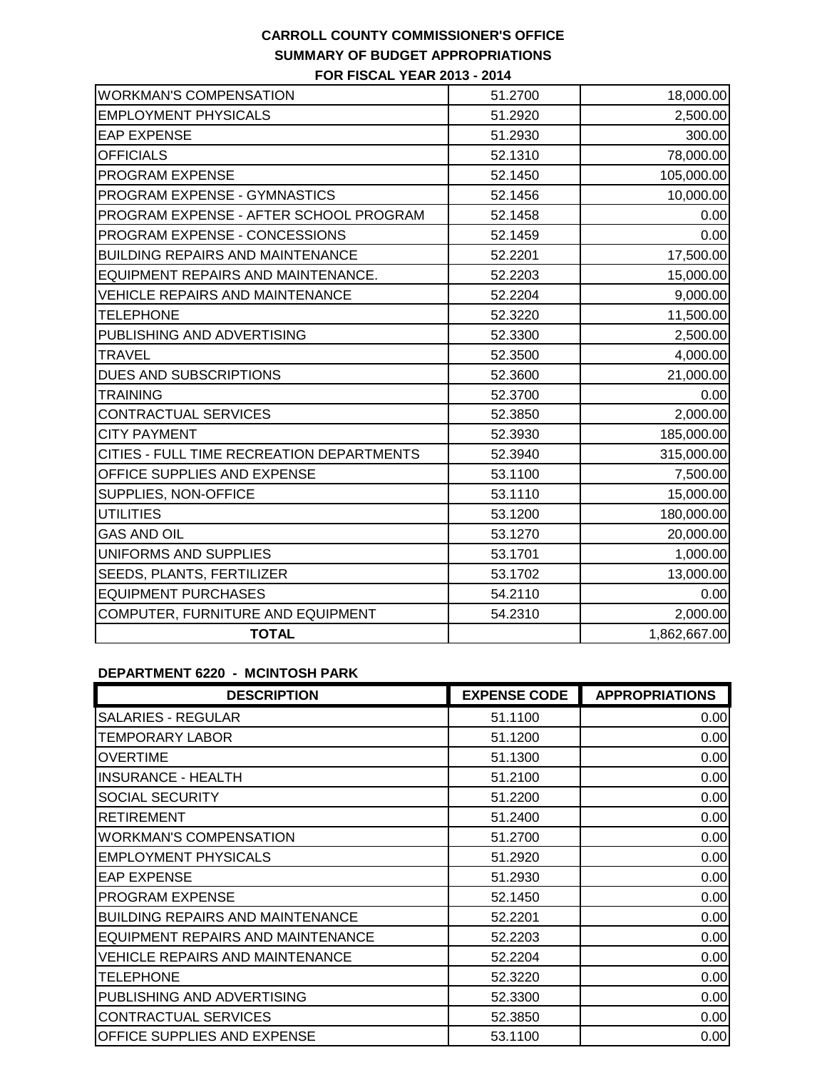| <b>WORKMAN'S COMPENSATION</b>             | 51.2700 | 18,000.00    |
|-------------------------------------------|---------|--------------|
| <b>EMPLOYMENT PHYSICALS</b>               | 51.2920 | 2,500.00     |
| <b>EAP EXPENSE</b>                        | 51.2930 | 300.00       |
| <b>OFFICIALS</b>                          | 52.1310 | 78,000.00    |
| PROGRAM EXPENSE                           | 52.1450 | 105,000.00   |
| PROGRAM EXPENSE - GYMNASTICS              | 52.1456 | 10,000.00    |
| PROGRAM EXPENSE - AFTER SCHOOL PROGRAM    | 52.1458 | 0.00         |
| PROGRAM EXPENSE - CONCESSIONS             | 52.1459 | 0.00         |
| <b>BUILDING REPAIRS AND MAINTENANCE</b>   | 52.2201 | 17,500.00    |
| EQUIPMENT REPAIRS AND MAINTENANCE.        | 52.2203 | 15,000.00    |
| <b>VEHICLE REPAIRS AND MAINTENANCE</b>    | 52.2204 | 9,000.00     |
| <b>TELEPHONE</b>                          | 52.3220 | 11,500.00    |
| PUBLISHING AND ADVERTISING                | 52.3300 | 2,500.00     |
| <b>TRAVEL</b>                             | 52.3500 | 4,000.00     |
| <b>DUES AND SUBSCRIPTIONS</b>             | 52.3600 | 21,000.00    |
| <b>TRAINING</b>                           | 52.3700 | 0.00         |
| CONTRACTUAL SERVICES                      | 52.3850 | 2,000.00     |
| <b>CITY PAYMENT</b>                       | 52.3930 | 185,000.00   |
| CITIES - FULL TIME RECREATION DEPARTMENTS | 52.3940 | 315,000.00   |
| OFFICE SUPPLIES AND EXPENSE               | 53.1100 | 7,500.00     |
| SUPPLIES, NON-OFFICE                      | 53.1110 | 15,000.00    |
| <b>UTILITIES</b>                          | 53.1200 | 180,000.00   |
| <b>GAS AND OIL</b>                        | 53.1270 | 20,000.00    |
| UNIFORMS AND SUPPLIES                     | 53.1701 | 1,000.00     |
| SEEDS, PLANTS, FERTILIZER                 | 53.1702 | 13,000.00    |
| <b>EQUIPMENT PURCHASES</b>                | 54.2110 | 0.00         |
| COMPUTER, FURNITURE AND EQUIPMENT         | 54.2310 | 2,000.00     |
| <b>TOTAL</b>                              |         | 1,862,667.00 |
|                                           |         |              |

# **DEPARTMENT 6220 - MCINTOSH PARK**

| <b>DESCRIPTION</b>                      | <b>EXPENSE CODE</b> | <b>APPROPRIATIONS</b> |
|-----------------------------------------|---------------------|-----------------------|
| <b>SALARIES - REGULAR</b>               | 51.1100             | 0.00                  |
| <b>TEMPORARY LABOR</b>                  | 51.1200             | 0.00                  |
| <b>OVERTIME</b>                         | 51.1300             | 0.00                  |
| <b>INSURANCE - HEALTH</b>               | 51.2100             | 0.00                  |
| <b>SOCIAL SECURITY</b>                  | 51.2200             | 0.00                  |
| <b>RETIREMENT</b>                       | 51.2400             | 0.00                  |
| <b>WORKMAN'S COMPENSATION</b>           | 51.2700             | 0.00                  |
| <b>EMPLOYMENT PHYSICALS</b>             | 51.2920             | 0.00                  |
| <b>EAP EXPENSE</b>                      | 51.2930             | 0.00                  |
| <b>PROGRAM EXPENSE</b>                  | 52.1450             | 0.00                  |
| <b>BUILDING REPAIRS AND MAINTENANCE</b> | 52.2201             | 0.00                  |
| EQUIPMENT REPAIRS AND MAINTENANCE       | 52.2203             | 0.00                  |
| <b>VEHICLE REPAIRS AND MAINTENANCE</b>  | 52.2204             | 0.00                  |
| <b>TELEPHONE</b>                        | 52.3220             | 0.00                  |
| PUBLISHING AND ADVERTISING              | 52.3300             | 0.00                  |
| <b>CONTRACTUAL SERVICES</b>             | 52.3850             | 0.00                  |
| <b>OFFICE SUPPLIES AND EXPENSE</b>      | 53.1100             | 0.00                  |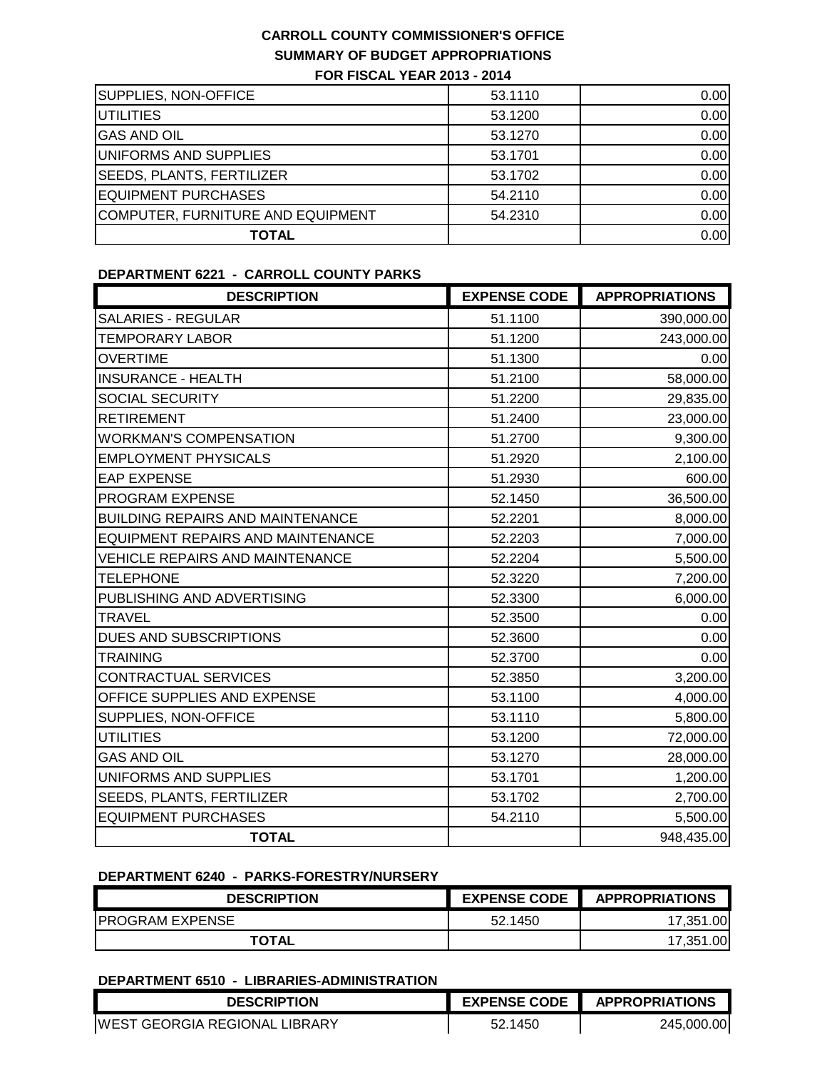| SUPPLIES, NON-OFFICE              | 53.1110 | 0.00 |
|-----------------------------------|---------|------|
| <b>UTILITIES</b>                  | 53.1200 | 0.00 |
| <b>GAS AND OIL</b>                | 53.1270 | 0.00 |
| UNIFORMS AND SUPPLIES             | 53.1701 | 0.00 |
| <b>SEEDS, PLANTS, FERTILIZER</b>  | 53.1702 | 0.00 |
| EQUIPMENT PURCHASES               | 54.2110 | 0.00 |
| COMPUTER, FURNITURE AND EQUIPMENT | 54.2310 | 0.00 |
| <b>TOTAL</b>                      |         | 0.00 |

#### **DEPARTMENT 6221 - CARROLL COUNTY PARKS**

| <b>DESCRIPTION</b>                       | <b>EXPENSE CODE</b> | <b>APPROPRIATIONS</b> |
|------------------------------------------|---------------------|-----------------------|
| <b>SALARIES - REGULAR</b>                | 51.1100             | 390,000.00            |
| <b>TEMPORARY LABOR</b>                   | 51.1200             | 243,000.00            |
| <b>OVERTIME</b>                          | 51.1300             | 0.00                  |
| <b>INSURANCE - HEALTH</b>                | 51.2100             | 58,000.00             |
| <b>SOCIAL SECURITY</b>                   | 51.2200             | 29,835.00             |
| <b>RETIREMENT</b>                        | 51.2400             | 23,000.00             |
| <b>WORKMAN'S COMPENSATION</b>            | 51.2700             | 9,300.00              |
| <b>EMPLOYMENT PHYSICALS</b>              | 51.2920             | 2,100.00              |
| <b>EAP EXPENSE</b>                       | 51.2930             | 600.00                |
| PROGRAM EXPENSE                          | 52.1450             | 36,500.00             |
| <b>BUILDING REPAIRS AND MAINTENANCE</b>  | 52.2201             | 8,000.00              |
| <b>EQUIPMENT REPAIRS AND MAINTENANCE</b> | 52.2203             | 7,000.00              |
| <b>VEHICLE REPAIRS AND MAINTENANCE</b>   | 52.2204             | 5,500.00              |
| <b>TELEPHONE</b>                         | 52.3220             | 7,200.00              |
| PUBLISHING AND ADVERTISING               | 52.3300             | 6,000.00              |
| <b>TRAVEL</b>                            | 52.3500             | 0.00                  |
| DUES AND SUBSCRIPTIONS                   | 52.3600             | 0.00                  |
| <b>TRAINING</b>                          | 52.3700             | 0.00                  |
| <b>CONTRACTUAL SERVICES</b>              | 52.3850             | 3,200.00              |
| OFFICE SUPPLIES AND EXPENSE              | 53.1100             | 4,000.00              |
| SUPPLIES, NON-OFFICE                     | 53.1110             | 5,800.00              |
| <b>UTILITIES</b>                         | 53.1200             | 72,000.00             |
| <b>GAS AND OIL</b>                       | 53.1270             | 28,000.00             |
| UNIFORMS AND SUPPLIES                    | 53.1701             | 1,200.00              |
| SEEDS, PLANTS, FERTILIZER                | 53.1702             | 2,700.00              |
| <b>EQUIPMENT PURCHASES</b>               | 54.2110             | 5,500.00              |
| <b>TOTAL</b>                             |                     | 948,435.00            |

### **DEPARTMENT 6240 - PARKS-FORESTRY/NURSERY**

| <b>DESCRIPTION</b>      | <b>EXPENSE CODE</b> | <b>APPROPRIATIONS</b> |
|-------------------------|---------------------|-----------------------|
| <b>IPROGRAM EXPENSE</b> | 52.1450             | .001<br>17,351        |
| <b>TOTAL</b>            |                     | .001<br>17.351        |

#### **DEPARTMENT 6510 - LIBRARIES-ADMINISTRATION**

| <b>DESCRIPTION</b>                    | <b>EXPENSE CODE</b> | <b>APPROPRIATIONS</b> |
|---------------------------------------|---------------------|-----------------------|
| <b>IWEST GEORGIA REGIONAL LIBRARY</b> | 52.1450             | 245,000.00            |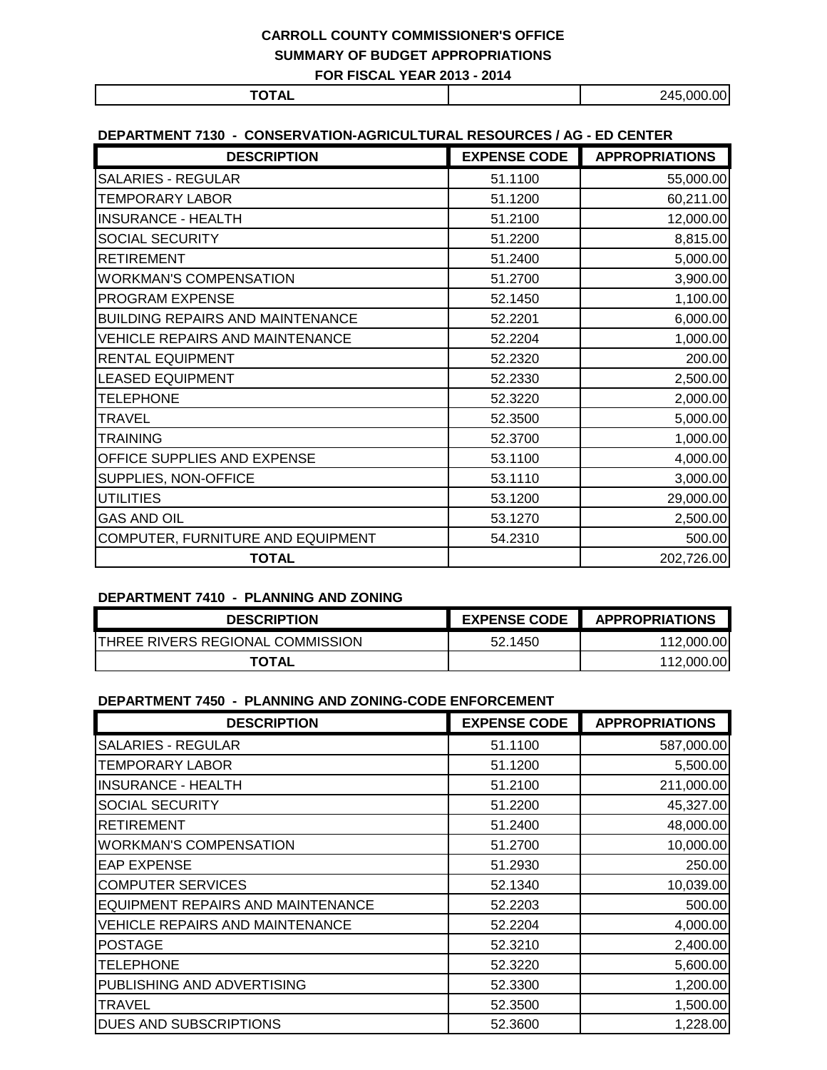| ----- |  | 00<br>245<br>റററ<br>_<br>$\sim$ |  |
|-------|--|---------------------------------|--|

### **DEPARTMENT 7130 - CONSERVATION-AGRICULTURAL RESOURCES / AG - ED CENTER**

| <b>DESCRIPTION</b>                      | <b>EXPENSE CODE</b> | <b>APPROPRIATIONS</b> |
|-----------------------------------------|---------------------|-----------------------|
| <b>SALARIES - REGULAR</b>               | 51.1100             | 55,000.00             |
| <b>TEMPORARY LABOR</b>                  | 51.1200             | 60,211.00             |
| <b>INSURANCE - HEALTH</b>               | 51.2100             | 12,000.00             |
| SOCIAL SECURITY                         | 51.2200             | 8,815.00              |
| <b>RETIREMENT</b>                       | 51.2400             | 5,000.00              |
| <b>WORKMAN'S COMPENSATION</b>           | 51.2700             | 3,900.00              |
| PROGRAM EXPENSE                         | 52.1450             | 1,100.00              |
| <b>BUILDING REPAIRS AND MAINTENANCE</b> | 52.2201             | 6,000.00              |
| <b>VEHICLE REPAIRS AND MAINTENANCE</b>  | 52.2204             | 1,000.00              |
| <b>RENTAL EQUIPMENT</b>                 | 52.2320             | 200.00                |
| <b>LEASED EQUIPMENT</b>                 | 52.2330             | 2,500.00              |
| <b>TELEPHONE</b>                        | 52.3220             | 2,000.00              |
| <b>TRAVEL</b>                           | 52.3500             | 5,000.00              |
| <b>TRAINING</b>                         | 52.3700             | 1,000.00              |
| OFFICE SUPPLIES AND EXPENSE             | 53.1100             | 4,000.00              |
| SUPPLIES, NON-OFFICE                    | 53.1110             | 3,000.00              |
| <b>UTILITIES</b>                        | 53.1200             | 29,000.00             |
| <b>GAS AND OIL</b>                      | 53.1270             | 2,500.00              |
| COMPUTER, FURNITURE AND EQUIPMENT       | 54.2310             | 500.00                |
| <b>TOTAL</b>                            |                     | 202,726.00            |

#### **DEPARTMENT 7410 - PLANNING AND ZONING**

| <b>DESCRIPTION</b>                       | <b>EXPENSE CODE</b> | <b>APPROPRIATIONS</b> |
|------------------------------------------|---------------------|-----------------------|
| <b>ITHREE RIVERS REGIONAL COMMISSION</b> | 52.1450             | 112,000.00            |
| <b>TOTAL</b>                             |                     | 112.000.00            |

#### **DEPARTMENT 7450 - PLANNING AND ZONING-CODE ENFORCEMENT**

| <b>DESCRIPTION</b>                       | <b>EXPENSE CODE</b> | <b>APPROPRIATIONS</b> |
|------------------------------------------|---------------------|-----------------------|
| <b>SALARIES - REGULAR</b>                | 51.1100             | 587,000.00            |
| TEMPORARY LABOR                          | 51.1200             | 5,500.00              |
| <b>INSURANCE - HEALTH</b>                | 51.2100             | 211,000.00            |
| <b>SOCIAL SECURITY</b>                   | 51.2200             | 45,327.00             |
| <b>RETIREMENT</b>                        | 51.2400             | 48,000.00             |
| <b>WORKMAN'S COMPENSATION</b>            | 51.2700             | 10,000.00             |
| <b>EAP EXPENSE</b>                       | 51.2930             | 250.00                |
| <b>COMPUTER SERVICES</b>                 | 52.1340             | 10,039.00             |
| <b>EQUIPMENT REPAIRS AND MAINTENANCE</b> | 52.2203             | 500.00                |
| VEHICLE REPAIRS AND MAINTENANCE          | 52.2204             | 4,000.00              |
| <b>POSTAGE</b>                           | 52.3210             | 2,400.00              |
| <b>TELEPHONE</b>                         | 52.3220             | 5,600.00              |
| PUBLISHING AND ADVERTISING               | 52.3300             | 1,200.00              |
| TRAVEL                                   | 52.3500             | 1,500.00              |
| DUES AND SUBSCRIPTIONS                   | 52.3600             | 1,228.00              |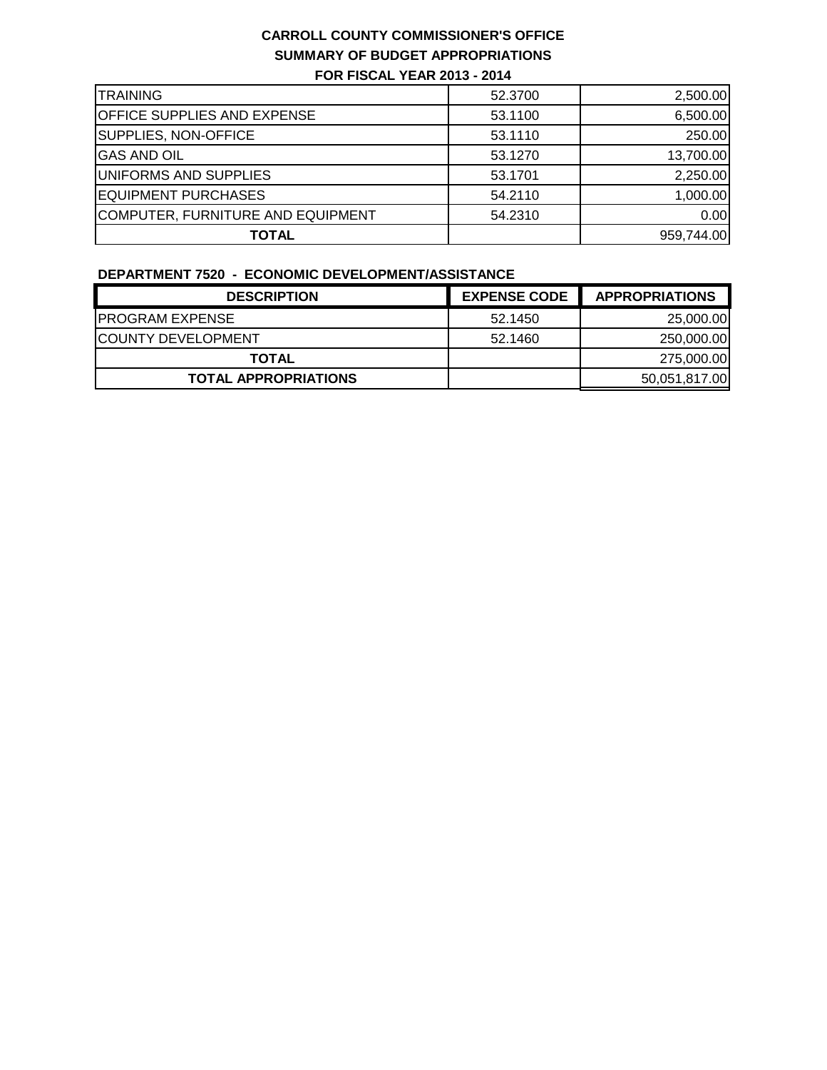| <b>ITRAINING</b>                   | 52.3700 | 2,500.00   |
|------------------------------------|---------|------------|
| <b>OFFICE SUPPLIES AND EXPENSE</b> | 53.1100 | 6,500.00   |
| SUPPLIES, NON-OFFICE               | 53.1110 | 250.00     |
| <b>GAS AND OIL</b>                 | 53.1270 | 13,700.00  |
| UNIFORMS AND SUPPLIES              | 53.1701 | 2,250.00   |
| <b>EQUIPMENT PURCHASES</b>         | 54.2110 | 1,000.00   |
| COMPUTER, FURNITURE AND EQUIPMENT  | 54.2310 | 0.00       |
| <b>TOTAL</b>                       |         | 959,744.00 |

#### **DEPARTMENT 7520 - ECONOMIC DEVELOPMENT/ASSISTANCE**

| <b>DESCRIPTION</b>          | <b>EXPENSE CODE</b> | <b>APPROPRIATIONS</b> |  |
|-----------------------------|---------------------|-----------------------|--|
| <b>IPROGRAM EXPENSE</b>     | 52.1450             | 25,000.00             |  |
| <b>ICOUNTY DEVELOPMENT</b>  | 52.1460             | 250,000.00            |  |
| <b>TOTAL</b>                |                     | 275,000.00            |  |
| <b>TOTAL APPROPRIATIONS</b> |                     | 50,051,817.00         |  |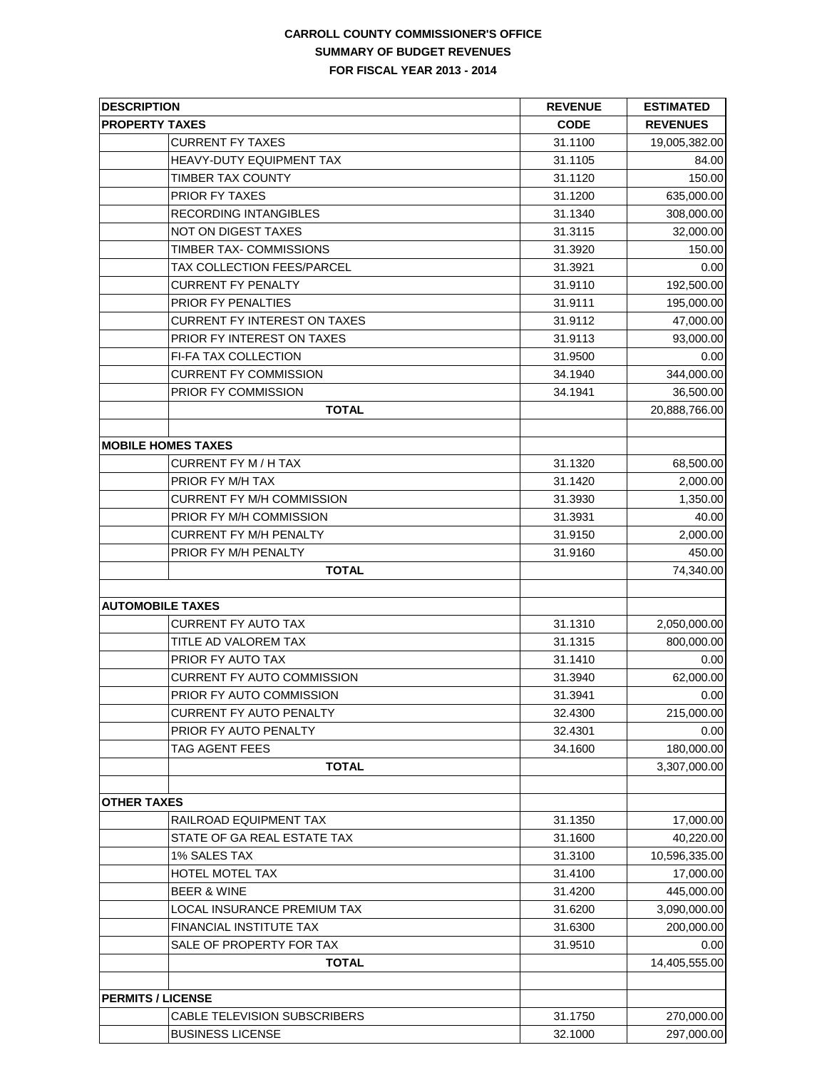| <b>DESCRIPTION</b>                  | <b>REVENUE</b> | <b>ESTIMATED</b><br><b>REVENUES</b> |  |
|-------------------------------------|----------------|-------------------------------------|--|
| <b>PROPERTY TAXES</b>               | <b>CODE</b>    |                                     |  |
| <b>CURRENT FY TAXES</b>             | 31.1100        | 19,005,382.00                       |  |
| HEAVY-DUTY EQUIPMENT TAX            | 31.1105        | 84.00                               |  |
| <b>TIMBER TAX COUNTY</b>            | 31.1120        | 150.00                              |  |
| PRIOR FY TAXES                      | 31.1200        | 635,000.00                          |  |
| RECORDING INTANGIBLES               | 31.1340        | 308,000.00                          |  |
| NOT ON DIGEST TAXES                 | 31.3115        | 32,000.00                           |  |
| TIMBER TAX- COMMISSIONS             | 31.3920        | 150.00                              |  |
| TAX COLLECTION FEES/PARCEL          | 31.3921        | 0.00                                |  |
| <b>CURRENT FY PENALTY</b>           | 31.9110        | 192,500.00                          |  |
| PRIOR FY PENALTIES                  | 31.9111        | 195,000.00                          |  |
| <b>CURRENT FY INTEREST ON TAXES</b> | 31.9112        | 47,000.00                           |  |
| PRIOR FY INTEREST ON TAXES          | 31.9113        | 93,000.00                           |  |
| FI-FA TAX COLLECTION                | 31.9500        | 0.00                                |  |
| <b>CURRENT FY COMMISSION</b>        | 34.1940        | 344,000.00                          |  |
| PRIOR FY COMMISSION                 | 34.1941        | 36,500.00                           |  |
| <b>TOTAL</b>                        |                | 20,888,766.00                       |  |
|                                     |                |                                     |  |
| <b>MOBILE HOMES TAXES</b>           |                |                                     |  |
| <b>CURRENT FY M / H TAX</b>         | 31.1320        |                                     |  |
| PRIOR FY M/H TAX                    | 31.1420        | 68,500.00                           |  |
| CURRENT FY M/H COMMISSION           | 31.3930        | 2,000.00                            |  |
|                                     |                | 1,350.00                            |  |
| PRIOR FY M/H COMMISSION             | 31.3931        | 40.00                               |  |
| <b>CURRENT FY M/H PENALTY</b>       | 31.9150        | 2,000.00                            |  |
| PRIOR FY M/H PENALTY                | 31.9160        | 450.00                              |  |
| <b>TOTAL</b>                        |                | 74,340.00                           |  |
| <b>AUTOMOBILE TAXES</b>             |                |                                     |  |
| <b>CURRENT FY AUTO TAX</b>          | 31.1310        | 2,050,000.00                        |  |
| TITLE AD VALOREM TAX                | 31.1315        | 800,000.00                          |  |
| PRIOR FY AUTO TAX                   | 31.1410        | 0.00                                |  |
| <b>CURRENT FY AUTO COMMISSION</b>   | 31.3940        | 62,000.00                           |  |
| PRIOR FY AUTO COMMISSION            | 31.3941        | 0.00                                |  |
| <b>CURRENT FY AUTO PENALTY</b>      | 32.4300        | 215,000.00                          |  |
| PRIOR FY AUTO PENALTY               | 32.4301        | 0.00                                |  |
| <b>TAG AGENT FEES</b>               | 34.1600        | 180,000.00                          |  |
| <b>TOTAL</b>                        |                | 3,307,000.00                        |  |
|                                     |                |                                     |  |
| <b>OTHER TAXES</b>                  |                |                                     |  |
| RAILROAD EQUIPMENT TAX              | 31.1350        | 17,000.00                           |  |
| STATE OF GA REAL ESTATE TAX         | 31.1600        | 40,220.00                           |  |
| <b>1% SALES TAX</b>                 | 31.3100        | 10,596,335.00                       |  |
| HOTEL MOTEL TAX                     | 31.4100        | 17,000.00                           |  |
| <b>BEER &amp; WINE</b>              | 31.4200        | 445,000.00                          |  |
| LOCAL INSURANCE PREMIUM TAX         | 31.6200        | 3,090,000.00                        |  |
| FINANCIAL INSTITUTE TAX             | 31.6300        | 200,000.00                          |  |
| SALE OF PROPERTY FOR TAX            | 31.9510        | 0.00                                |  |
| <b>TOTAL</b>                        |                | 14,405,555.00                       |  |
|                                     |                |                                     |  |
| <b>PERMITS / LICENSE</b>            |                |                                     |  |
| CABLE TELEVISION SUBSCRIBERS        | 31.1750        | 270,000.00                          |  |
| <b>BUSINESS LICENSE</b>             | 32.1000        | 297,000.00                          |  |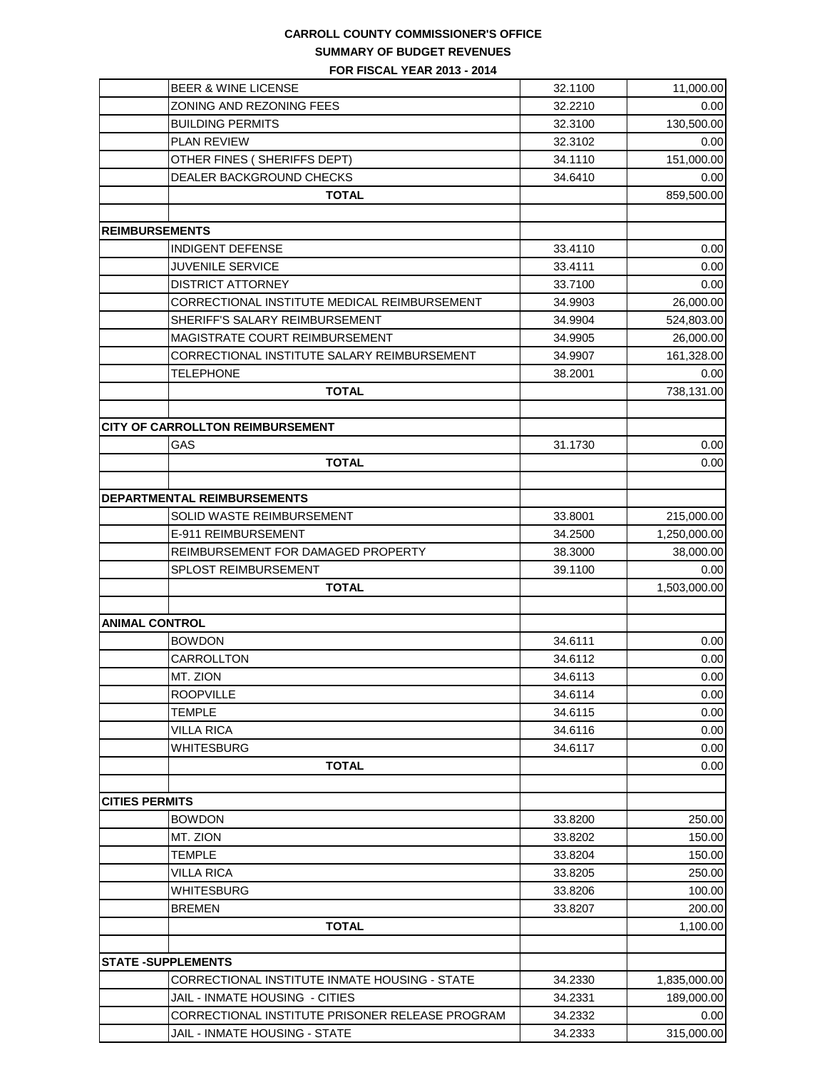# **CARROLL COUNTY COMMISSIONER'S OFFICE SUMMARY OF BUDGET REVENUES**

**FOR FISCAL YEAR 2013 - 2014**

| <b>BEER &amp; WINE LICENSE</b>                  | 32.1100 | 11,000.00    |
|-------------------------------------------------|---------|--------------|
| ZONING AND REZONING FEES                        | 32.2210 | 0.00         |
| <b>BUILDING PERMITS</b>                         | 32.3100 | 130,500.00   |
| <b>PLAN REVIEW</b>                              | 32.3102 | 0.00         |
| OTHER FINES (SHERIFFS DEPT)                     | 34.1110 | 151,000.00   |
| DEALER BACKGROUND CHECKS                        | 34.6410 | 0.00         |
| <b>TOTAL</b>                                    |         | 859,500.00   |
|                                                 |         |              |
| <b>REIMBURSEMENTS</b>                           |         |              |
| <b>INDIGENT DEFENSE</b>                         | 33.4110 | 0.00         |
| <b>JUVENILE SERVICE</b>                         | 33.4111 | 0.00         |
| <b>DISTRICT ATTORNEY</b>                        | 33.7100 | 0.00         |
| CORRECTIONAL INSTITUTE MEDICAL REIMBURSEMENT    | 34.9903 | 26,000.00    |
| SHERIFF'S SALARY REIMBURSEMENT                  | 34.9904 | 524,803.00   |
| MAGISTRATE COURT REIMBURSEMENT                  | 34.9905 | 26,000.00    |
| CORRECTIONAL INSTITUTE SALARY REIMBURSEMENT     | 34.9907 | 161,328.00   |
| <b>TELEPHONE</b>                                | 38.2001 | 0.00         |
| <b>TOTAL</b>                                    |         | 738,131.00   |
|                                                 |         |              |
| <b>CITY OF CARROLLTON REIMBURSEMENT</b>         |         |              |
| GAS                                             | 31.1730 | 0.00         |
| <b>TOTAL</b>                                    |         | 0.00         |
|                                                 |         |              |
| <b>DEPARTMENTAL REIMBURSEMENTS</b>              |         |              |
| SOLID WASTE REIMBURSEMENT                       | 33.8001 | 215,000.00   |
| E-911 REIMBURSEMENT                             | 34.2500 | 1,250,000.00 |
| REIMBURSEMENT FOR DAMAGED PROPERTY              | 38.3000 | 38,000.00    |
| SPLOST REIMBURSEMENT                            | 39.1100 | 0.00         |
| <b>TOTAL</b>                                    |         | 1,503,000.00 |
|                                                 |         |              |
| <b>ANIMAL CONTROL</b>                           |         |              |
| <b>BOWDON</b>                                   | 34.6111 | 0.00         |
| CARROLLTON                                      | 34.6112 | 0.00         |
| MT. ZION                                        | 34.6113 | 0.00         |
| <b>ROOPVILLE</b>                                | 34.6114 | 0.00         |
| <b>TEMPLE</b>                                   | 34.6115 | 0.00         |
| <b>VILLA RICA</b>                               | 34.6116 | 0.00         |
| <b>WHITESBURG</b>                               | 34.6117 | 0.00         |
| <b>TOTAL</b>                                    |         | 0.00         |
|                                                 |         |              |
| <b>CITIES PERMITS</b>                           |         |              |
| <b>BOWDON</b>                                   | 33.8200 | 250.00       |
| MT. ZION                                        | 33.8202 | 150.00       |
| <b>TEMPLE</b>                                   | 33.8204 | 150.00       |
| VILLA RICA                                      | 33.8205 | 250.00       |
| <b>WHITESBURG</b>                               | 33.8206 | 100.00       |
| <b>BREMEN</b>                                   | 33.8207 | 200.00       |
| <b>TOTAL</b>                                    |         | 1,100.00     |
|                                                 |         |              |
| <b>STATE -SUPPLEMENTS</b>                       |         |              |
| CORRECTIONAL INSTITUTE INMATE HOUSING - STATE   | 34.2330 | 1,835,000.00 |
| JAIL - INMATE HOUSING - CITIES                  | 34.2331 | 189,000.00   |
| CORRECTIONAL INSTITUTE PRISONER RELEASE PROGRAM | 34.2332 | 0.00         |
| JAIL - INMATE HOUSING - STATE                   | 34.2333 | 315,000.00   |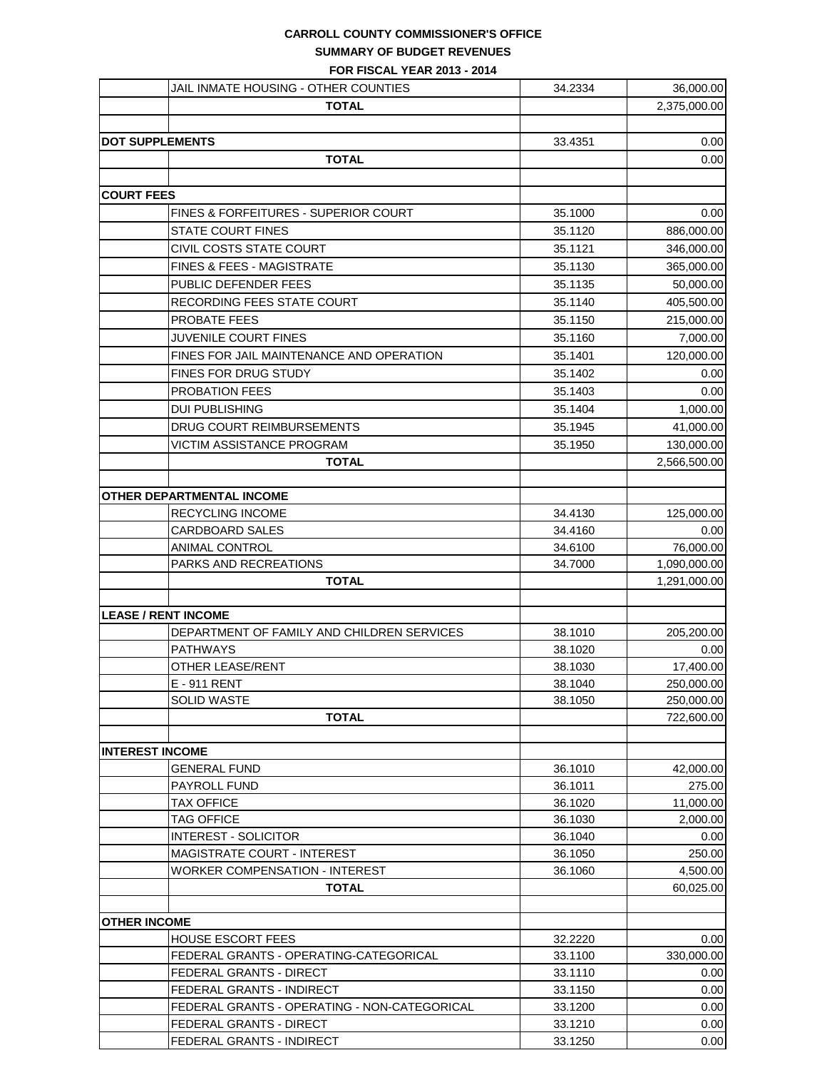### **CARROLL COUNTY COMMISSIONER'S OFFICE SUMMARY OF BUDGET REVENUES**

**FOR FISCAL YEAR 2013 - 2014**

|                   | JAIL INMATE HOUSING - OTHER COUNTIES            | 34.2334            | 36,000.00           |
|-------------------|-------------------------------------------------|--------------------|---------------------|
|                   | <b>TOTAL</b>                                    |                    | 2,375,000.00        |
|                   |                                                 |                    |                     |
|                   | <b>DOT SUPPLEMENTS</b>                          | 33.4351            | 0.00                |
|                   | <b>TOTAL</b>                                    |                    | 0.00                |
|                   |                                                 |                    |                     |
| <b>COURT FEES</b> |                                                 |                    |                     |
|                   | <b>FINES &amp; FORFEITURES - SUPERIOR COURT</b> | 35.1000            | 0.00                |
|                   | <b>STATE COURT FINES</b>                        | 35.1120            | 886,000.00          |
|                   | CIVIL COSTS STATE COURT                         | 35.1121            | 346,000.00          |
|                   | <b>FINES &amp; FEES - MAGISTRATE</b>            | 35.1130            | 365,000.00          |
|                   | PUBLIC DEFENDER FEES                            | 35.1135            | 50,000.00           |
|                   | RECORDING FEES STATE COURT                      | 35.1140            | 405,500.00          |
|                   | PROBATE FEES                                    | 35.1150            | 215,000.00          |
|                   | <b>JUVENILE COURT FINES</b>                     | 35.1160            | 7,000.00            |
|                   | FINES FOR JAIL MAINTENANCE AND OPERATION        | 35.1401            | 120,000.00          |
|                   | <b>FINES FOR DRUG STUDY</b>                     | 35.1402            | 0.00                |
|                   | PROBATION FEES                                  | 35.1403            | 0.00                |
|                   | <b>DUI PUBLISHING</b>                           | 35.1404            | 1,000.00            |
|                   | <b>DRUG COURT REIMBURSEMENTS</b>                | 35.1945            | 41,000.00           |
|                   | VICTIM ASSISTANCE PROGRAM                       | 35.1950            | 130,000.00          |
|                   | <b>TOTAL</b>                                    |                    | 2,566,500.00        |
|                   |                                                 |                    |                     |
|                   | OTHER DEPARTMENTAL INCOME                       |                    |                     |
|                   | RECYCLING INCOME                                | 34.4130            | 125,000.00          |
|                   | CARDBOARD SALES                                 | 34.4160            | 0.00                |
|                   | ANIMAL CONTROL                                  | 34.6100            | 76,000.00           |
|                   | PARKS AND RECREATIONS                           | 34.7000            | 1,090,000.00        |
|                   | <b>TOTAL</b>                                    |                    | 1,291,000.00        |
|                   |                                                 |                    |                     |
|                   | <b>LEASE / RENT INCOME</b>                      |                    |                     |
|                   | DEPARTMENT OF FAMILY AND CHILDREN SERVICES      | 38.1010            | 205,200.00          |
|                   | <b>PATHWAYS</b>                                 | 38.1020            | 0.00                |
|                   | <b>OTHER LEASE/RENT</b>                         | 38.1030            | 17,400.00           |
|                   | E - 911 RENT                                    | 38.1040            | 250,000.00          |
|                   | SOLID WASTE                                     | 38.1050            | 250,000.00          |
|                   | <b>TOTAL</b>                                    |                    | 722,600.00          |
|                   |                                                 |                    |                     |
|                   | <b>INTEREST INCOME</b>                          |                    |                     |
|                   | GENERAL FUND                                    | 36.1010            | 42,000.00           |
|                   | PAYROLL FUND<br><b>TAX OFFICE</b>               | 36.1011<br>36.1020 | 275.00<br>11,000.00 |
|                   | <b>TAG OFFICE</b>                               | 36.1030            | 2,000.00            |
|                   | <b>INTEREST - SOLICITOR</b>                     | 36.1040            | 0.00                |
|                   | <b>MAGISTRATE COURT - INTEREST</b>              | 36.1050            | 250.00              |
|                   | WORKER COMPENSATION - INTEREST                  | 36.1060            | 4,500.00            |
|                   | <b>TOTAL</b>                                    |                    | 60,025.00           |
|                   |                                                 |                    |                     |
|                   | <b>OTHER INCOME</b>                             |                    |                     |
|                   | HOUSE ESCORT FEES                               | 32.2220            | 0.00                |
|                   | FEDERAL GRANTS - OPERATING-CATEGORICAL          | 33.1100            | 330,000.00          |
|                   | FEDERAL GRANTS - DIRECT                         | 33.1110            | 0.00                |
|                   | FEDERAL GRANTS - INDIRECT                       | 33.1150            | 0.00                |
|                   | FEDERAL GRANTS - OPERATING - NON-CATEGORICAL    | 33.1200            | 0.00                |
|                   | FEDERAL GRANTS - DIRECT                         | 33.1210            | 0.00                |
|                   | FEDERAL GRANTS - INDIRECT                       | 33.1250            | 0.00                |